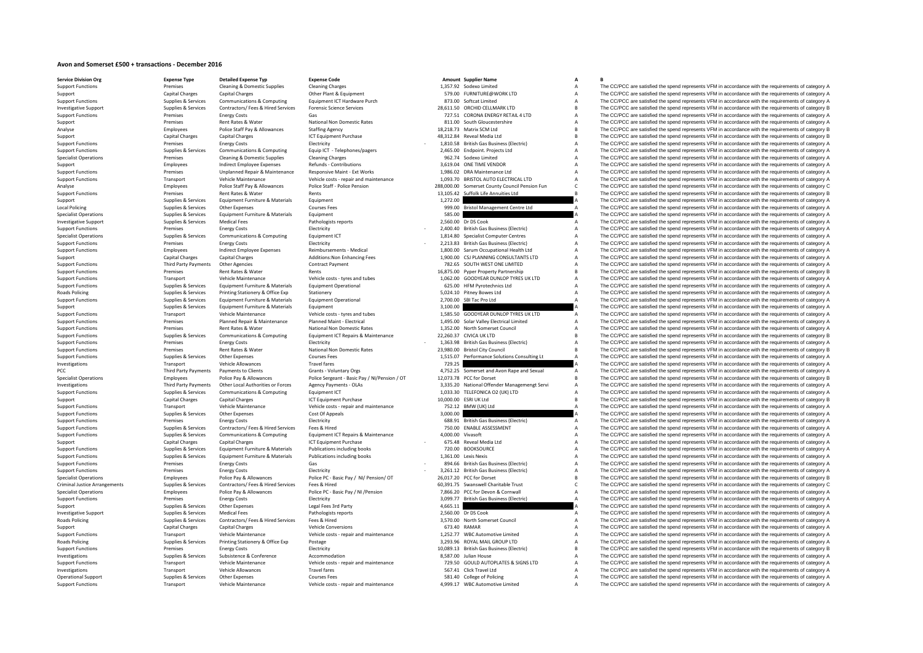## **Avon and Somerset £500 + transactions - December 2016**

| <b>Service Division Org</b>   | <b>Expense Type</b>         | <b>Detailed Expense Typ</b>             | <b>Expense Code</b>                           |                   | Amount Supplier Name                           | А              |              |
|-------------------------------|-----------------------------|-----------------------------------------|-----------------------------------------------|-------------------|------------------------------------------------|----------------|--------------|
| <b>Support Functions</b>      | Premises                    | Cleaning & Domestic Supplies            | <b>Cleaning Charges</b>                       |                   | 1,357.92 Sodexo Limited                        | A              |              |
| Support                       | <b>Capital Charges</b>      | <b>Capital Charges</b>                  | Other Plant & Equipment                       |                   | 579.00 FURNITURE@WORK LTD                      | $\overline{A}$ |              |
| <b>Support Functions</b>      | Supplies & Services         | Communications & Computing              | Equipment ICT Hardware Purch                  |                   | 873.00 Softcat Limited                         | $\overline{A}$ |              |
|                               | Supplies & Services         | Contractors/ Fees & Hired Services      | <b>Forensic Science Services</b>              |                   | 28,611.50 ORCHID CELLMARK LTD                  | B              | Ţ            |
| <b>Investigative Support</b>  |                             |                                         |                                               |                   |                                                |                |              |
| <b>Support Functions</b>      | Premises                    | <b>Energy Costs</b>                     | Gas                                           |                   | 727.51 CORONA ENERGY RETAIL 4 LTD              | $\overline{A}$ | ī            |
| Support                       | Premises                    | Rent Rates & Water                      | National Non Domestic Rates                   |                   | 811.00 South Gloucestershire                   | A              | $\mathbf{I}$ |
| Analyse                       | Employees                   | Police Staff Pay & Allowances           | <b>Staffing Agency</b>                        |                   | 18,218.73 Matrix SCM Ltd                       | B              | Ţ            |
| Support                       | <b>Capital Charges</b>      | <b>Capital Charges</b>                  | ICT Equipment Purchase                        |                   | 48,312.84 Reveal Media Ltd                     | B              | Ţ            |
|                               |                             |                                         |                                               |                   |                                                |                |              |
| <b>Support Functions</b>      | Premises                    | <b>Energy Costs</b>                     | Electricity                                   |                   | 1,810.58 British Gas Business (Electric)       | $\overline{A}$ | Ţ            |
| <b>Support Functions</b>      | Supplies & Services         | Communications & Computing              | Equip ICT - Telephones/pagers                 |                   | 2,465.00 Endpoint. Projects Ltd                | A              | Ţ            |
| Specialist Operations         | Premises                    | <b>Cleaning &amp; Domestic Supplies</b> | <b>Cleaning Charges</b>                       |                   | 962.74 Sodexo Limited                          | A              | ī            |
| Support                       | Employees                   | <b>Indirect Employee Expenses</b>       | Refunds - Contributions                       |                   | 3,619.04 ONE TIME VENDOR                       | $\overline{A}$ | ī            |
|                               | Premises                    | Unplanned Repair & Maintenance          | Responsive Maint - Ext Works                  |                   | 1,986.02 DRA Maintenance Ltd                   | A              | Ţ            |
| <b>Support Functions</b>      |                             |                                         |                                               |                   |                                                |                |              |
| <b>Support Functions</b>      | Transport                   | Vehicle Maintenance                     | Vehicle costs - repair and maintenance        |                   | 1.093.70 BRISTOL AUTO ELECTRICAL LTD           | A              | ī            |
| Analyse                       | Employees                   | Police Staff Pay & Allowances           | Police Staff - Police Pension                 |                   | 288,000.00 Somerset County Council Pension Fun | $\mathsf{C}$   | ī            |
| <b>Support Functions</b>      | Premises                    | Rent Rates & Water                      | Rents                                         | 13,105.42         | Suffolk Life Annuities Ltd                     | B <sub>1</sub> | Ţ            |
|                               | Supplies & Services         | Equipment Furniture & Materials         | Equipment                                     | 1,272.00          |                                                |                | ī            |
| Support                       |                             |                                         |                                               |                   |                                                |                |              |
| <b>Local Policing</b>         | Supplies & Services         | <b>Other Expenses</b>                   | <b>Courses Fees</b>                           | 999.00            | <b>Bristol Management Centre Ltd</b>           |                | $\mathbf{I}$ |
| Specialist Operations         | Supplies & Services         | Equipment Furniture & Materials         | Equipment                                     | 585.00            |                                                |                | ī            |
| <b>Investigative Support</b>  | Supplies & Services         | <b>Medical Fees</b>                     | Pathologists reports                          |                   | 2.560.00 Dr DS Cook                            | A              | $\mathbf{I}$ |
| <b>Support Functions</b>      | Premises                    | <b>Energy Costs</b>                     | Electricity                                   |                   | 2,400.40 British Gas Business (Electric)       | A              | $\mathbf{I}$ |
|                               |                             |                                         |                                               |                   |                                                |                |              |
| Specialist Operations         | Supplies & Services         | Communications & Computing              | Equipment ICT                                 |                   | 1,814.80 Specialist Computer Centres           | A              | Ţ            |
| <b>Support Functions</b>      | Premises                    | <b>Energy Costs</b>                     | Electricity                                   |                   | 2,213.83 British Gas Business (Electric)       | A              | Ţ            |
| <b>Support Functions</b>      | Employees                   | <b>Indirect Employee Expenses</b>       | Reimbursements - Medical                      |                   | 1,800.00 Sarum Occupational Health Ltd         |                | ī            |
| Support                       | <b>Capital Charges</b>      | <b>Capital Charges</b>                  | <b>Additions: Non Enhancing Fees</b>          |                   | 1,900.00 CSJ PLANNING CONSULTANTS LTD          | A              | ī            |
|                               |                             |                                         |                                               |                   |                                                |                |              |
| <b>Support Functions</b>      | Third Party Payments        | <b>Other Agencies</b>                   | Contract Payment                              |                   | 782.65 SOUTH WEST ONE LIMITED                  | A              | Ţ            |
| <b>Support Functions</b>      | Premises                    | Rent Rates & Water                      | Rents                                         |                   | 16,875.00 Pyper Property Partnership           | B <sub>1</sub> | ī            |
| <b>Support Functions</b>      | Transport                   | Vehicle Maintenance                     | Vehicle costs - tyres and tubes               |                   | 1,062.00 GOODYEAR DUNLOP TYRES UK LTD          | A              | ī            |
| <b>Support Functions</b>      | Supplies & Services         | Equipment Furniture & Materials         | <b>Equipment Operational</b>                  |                   | 625.00 HFM Pyrotechnics Ltd                    | A              | Ţ            |
|                               |                             |                                         |                                               |                   |                                                |                | ī            |
| Roads Policing                | Supplies & Services         | Printing Stationery & Office Exp        | Stationery                                    |                   | 5,024.10 Pitney Bowes Ltd                      | A              |              |
| <b>Support Functions</b>      | Supplies & Services         | Equipment Furniture & Materials         | <b>Equipment Operational</b>                  |                   | 2,700.00 SBI Tac Pro Ltd                       |                | Ţ            |
| Support                       | Supplies & Services         | Equipment Furniture & Materials         | Equipment                                     | 3,100.00          |                                                |                | Ţ            |
| <b>Support Functions</b>      | Transport                   | Vehicle Maintenance                     | Vehicle costs - tyres and tubes               |                   | 1,585.50 GOODYEAR DUNLOP TYRES UK LTD          | A              | $\mathbf{I}$ |
|                               | Premises                    | Planned Repair & Maintenance            | Planned Maint - Electrical                    |                   | 1,495.00 Solar Valley Electrical Limited       | A              | $\mathbf{I}$ |
| <b>Support Functions</b>      |                             |                                         |                                               |                   |                                                |                |              |
| <b>Support Functions</b>      | Premises                    | Rent Rates & Water                      | National Non Domestic Rates                   |                   | 1,352.00 North Somerset Council                | A              | Ţ            |
| <b>Support Functions</b>      | Supplies & Services         | Communications & Computing              | Equipment ICT Repairs & Maintenance           |                   | 22,260.37 CIVICA UK LTD                        | B              | ī            |
| <b>Support Functions</b>      | Premises                    | <b>Energy Costs</b>                     | Electricity                                   |                   | 1,363.98 British Gas Business (Electric)       | A              | Ţ            |
| <b>Support Functions</b>      | Premises                    | Rent Rates & Water                      | National Non Domestic Rates                   |                   | 23,980.00 Bristol City Council                 |                | Ţ            |
|                               |                             |                                         |                                               |                   |                                                |                |              |
| <b>Support Functions</b>      | Supplies & Services         | Other Expenses                          | <b>Courses Fees</b>                           |                   | 1,515.07 Performance Solutions Consulting Lt   | $\overline{A}$ | Ţ            |
| Investigations                | Transport                   | Vehicle Allowances                      | <b>Travel fares</b>                           | 729.25            |                                                |                | Ţ            |
| PCC                           | <b>Third Party Payments</b> | Payments to Clients                     | Grants - Voluntary Orgs                       |                   | 4,752.25 Somerset and Avon Rape and Sexual     | $\overline{A}$ | Ţ            |
| Specialist Operations         | Employees                   | Police Pay & Allowances                 | Police Sergeant - Basic Pay / NI/Pension / OT |                   | 12,073.78 PCC for Dorset                       | B <sub>1</sub> | ī            |
|                               |                             |                                         |                                               |                   |                                                |                |              |
| Investigations                | <b>Third Party Payments</b> | Other Local Authorities or Forces       | Agency Payments - OLAs                        |                   | 3,335.20 National Offender Managemengt Servi   | A              | $\mathbf{I}$ |
| <b>Support Functions</b>      | Supplies & Services         | <b>Communications &amp; Computing</b>   | Equipment ICT                                 |                   | 1,033.30 TELEFONICA O2 (UK) LTD                | A              | ī            |
| Support                       | <b>Capital Charges</b>      | <b>Capital Charges</b>                  | <b>ICT Equipment Purchase</b>                 |                   | 10,000.00 ESRI UK Ltd                          |                | ī            |
| <b>Support Functions</b>      | Transport                   | Vehicle Maintenance                     | Vehicle costs - repair and maintenance        |                   | 752.12 BMW (UK) Ltd                            | $\Delta$       | $\mathbf{I}$ |
|                               |                             |                                         |                                               | 3,000.00          |                                                |                | $\mathbf{I}$ |
| <b>Support Functions</b>      | Supplies & Services         | Other Expenses                          | Cost Of Appeals                               |                   |                                                |                |              |
| <b>Support Functions</b>      | Premises                    | <b>Energy Costs</b>                     | Electricity                                   |                   | 688.91 British Gas Business (Electric)         |                | $\mathbf{I}$ |
| <b>Support Functions</b>      | Supplies & Services         | Contractors/ Fees & Hired Services      | Fees & Hired                                  |                   | 750.00 ENABLE ASSESSMENT                       |                | $\mathbf{I}$ |
| <b>Support Functions</b>      | Supplies & Services         | <b>Communications &amp; Computing</b>   | Equipment ICT Repairs & Maintenance           | 4,000.00 Vivasoft |                                                | A              | ī            |
| Support                       | <b>Capital Charges</b>      | <b>Capital Charges</b>                  | <b>ICT Equipment Purchase</b>                 |                   | 675.48 Reveal Media Ltd                        | $\Delta$       | ī            |
|                               |                             |                                         |                                               |                   |                                                |                |              |
| <b>Support Functions</b>      | Supplies & Services         | Equipment Furniture & Materials         | Publications including books                  |                   | 720.00 BOOKSOURCE                              | A              | ī            |
| <b>Support Functions</b>      | Supplies & Services         | Equipment Furniture & Materials         | Publications including books                  |                   | 1,361.00 Lexis Nexis                           | A              | Ţ            |
| <b>Support Functions</b>      | Premises                    | <b>Energy Costs</b>                     | Gas                                           |                   | 894.66 British Gas Business (Electric)         | $\Delta$       | Ţ            |
| <b>Support Functions</b>      | Premises                    | <b>Energy Costs</b>                     | Electricity                                   |                   | 3,261.12 British Gas Business (Electric)       | A              | Ţ            |
|                               |                             |                                         |                                               |                   |                                                |                |              |
| <b>Specialist Operations</b>  | Employees                   | Police Pay & Allowances                 | Police PC - Basic Pay / NI/ Pension/ OT       |                   | 26,017.20 PCC for Dorset                       | B              | Ţ            |
| Criminal Justice Arrangements | Supplies & Services         | Contractors/ Fees & Hired Services      | Fees & Hired                                  |                   | 60,391.75 Swanswell Charitable Trust           | C              | Ţ            |
| <b>Specialist Operations</b>  | Employees                   | Police Pay & Allowances                 | Police PC - Basic Pay / NI / Pension          |                   | 7,866.20 PCC for Devon & Cornwall              | A              | ī            |
| <b>Support Functions</b>      | Premises                    | <b>Energy Costs</b>                     | Electricity                                   |                   | 3,099.77 British Gas Business (Electric)       | A              | ī            |
|                               |                             |                                         |                                               |                   |                                                |                | Ţ            |
| Support                       | Supplies & Services         | Other Expenses                          | Legal Fees 3rd Party                          | 4,665.11          |                                                |                |              |
| <b>Investigative Support</b>  | Supplies & Services         | <b>Medical Fees</b>                     | Pathologists reports                          |                   | 2,560.00 Dr DS Cook                            |                | Ţ            |
| Roads Policing                | Supplies & Services         | Contractors/ Fees & Hired Services      | Fees & Hired                                  |                   | 3,570.00 North Somerset Council                | A              | Ţ            |
| Support                       | <b>Capital Charges</b>      | <b>Capital Charges</b>                  | <b>Vehicle Conversions</b>                    |                   | 673.40 RAMAR                                   | A              | Ţ            |
| <b>Support Functions</b>      | Transport                   | Vehicle Maintenance                     | Vehicle costs - repair and maintenance        | 1,252.77          | <b>WBC Automotive Limited</b>                  | $\Delta$       | ī            |
|                               |                             |                                         |                                               |                   |                                                |                |              |
| Roads Policing                | Supplies & Services         | Printing Stationery & Office Exp        | Postage                                       |                   | 3,293.96 ROYAL MAIL GROUP LTD                  | A              | ī            |
| <b>Support Functions</b>      | Premises                    | <b>Energy Costs</b>                     | Electricity                                   |                   | 10,089.13 British Gas Business (Electric)      | B              | Ţ            |
| Investigations                | Supplies & Services         | Subsistence & Conference                | Accommodation                                 |                   | 8,587.00 Julian House                          | A              | ī            |
| <b>Support Functions</b>      | Transport                   | Vehicle Maintenance                     | Vehicle costs - repair and maintenance        | 729.50            | GOULD AUTOPLATES & SIGNS LTD                   | A              | Ţ            |
|                               |                             |                                         |                                               |                   |                                                |                | Ţ            |
| Investigations                | Transport                   | Vehicle Allowances                      | <b>Travel fares</b>                           |                   | 567.41 Click Travel Ltd                        | A              |              |
| Operational Support           | Supplies & Services         | <b>Other Expenses</b>                   | <b>Courses Fees</b>                           |                   | 581.40 College of Policing                     | $\overline{A}$ | ī            |
| <b>Support Functions</b>      | Transport                   | Vehicle Maintenance                     | Vehicle costs - repair and maintenance        |                   | 4,999.17 WBC Automotive Limited                | $\overline{A}$ |              |
|                               |                             |                                         |                                               |                   |                                                |                |              |

Support Functions Premises Cleaning & Domestic Supplies Cleaning Charges Cleaning Charges Cleaning Charges Cleaning Charges Cleaning Charges Cleaning Charges Cleaning Charges Cleaning Charges Cleaning Charges A The CC/PCC Support Capital Charges Capital Charges Capital Charges Capital Charges Other Plant & Equipment Charges Capital Charges Other Plant & Equipment Chargement Charges Capital Charges Capital Charges Communications & Computing Support Functions Supplies A Services Communications & Computing Equipment ICT Hardware Purch 873.00 Softcat Limited A The CC/PCC are satisfied the spend represents VFM in accordance with the requirements of category A Inv Investigative Support Electrophor Supplies & Services Contractors/ Fees & Hired Services Forensic Science Services Contractors/ Fees & Hired Services Forensic Science Services 28,611.50 ORCHID CELLMARK LTD B The CC/PCC are Energy Costs Gas Gas Gas Gas Content of Content Content Content Content Content Content Content Content Content Content Content Content Content Content Content Content Content Content Content Content Content Content Conten Support Premises Rent Rates & Water National Non Domestic Rates Rent Rates Rent Rates Rent Rates Rent Rates Rent Rates Rent Rates Rent Rates Rent Rates Rent Rates Rent Rates Rent Rates Rent Rates Rent Rates Rent Rates Rent Analyse Employees Police Staff Pay & Allowances Staffing Agency Staffing Agency 18,218.73 Matrix SCM Ltd B The CC/PCC are satisfied the spend represents VFM in accordance with the requirements of category B Inc. Category B Support Capital Charges Capital Charges Capital Charges ICT Equipment Purchase 48,312.84 Reveal Media Ltd B The CC/PCC are satisfied the spend represents VFM in accordance with the requirements of category B Support Letter Premises Energy Costs Electricity Electricity - 1,810.58 British Gas Business (Electricity - 1,810.58 British Gas Business (Electricity A The CC/PCC are satisfied the spend represents VFM in accordance with the requirement Supplier Suppliers & Suppliers & Communications & Computing Equip ICT - Telephones/pagers 2,465.00 Endpoint Projects Ltd A The CC/PCC are satisfied the spend represents VFM in accordance with the requirements of category A Specialist Operations Premises Cleaning & Domestic Supplies Cleaning Charges Cleaning Charges Cleaning Charges Cleaning Charges Cleaning Charges Specialist Operations A The CC/PCC are satisfied the spend represents VFM in Support The CC/PCC are satisfied the spend represents of category A Support Expenses Refunds - Contributions Responsive Maint - Ext Works 3,619.04 ONE TIME VENDOR A The CC/PCC are satisfied the spend represents VFM in acco Support Functions Premises Unplanned Repair & Maintenance Responsive Maint - Ext Works 1,986.02 DRA Maintenance Ltd A The CC/PCC are satisfied the spend represents VFM in accordance with the requirements of category A Supp Employees and the material of the Mathematic Control of the COPC and the performance of the control of the COPC and the control of the control of the control of the control of the control of the control of the control of t Analyse Employees Police Staff Pay & Allowances Police Staff - Police Pension 288,000.00 Somerset County Council Pension Functions CC/PCC are satisfied the spend represents VFM in accordance with the requirements of catego Premises Rent Rates & Water Rents Rents Rents Rents Rents Rents Rents Rents Rents Rents Rents Rents Rents Rent<br>13,105.42 Suffolk Life Annuities Ltd B The CC/PCC are satisfied the spend represents VFM in accordance with the Support Supplies & Services Equipment Furniture & Materials Equipment 1,272.00 1,272.00 A The CC/PCC are satisfied the spend represents VFM in accordance with the requirements of category A Local Policing Supplies Services Other Expenses Courses Fees 999.00 Bristol Management Centre Ltd A The CC/PCC are satisfied the spend represents VFM in accordance with the requirements of category A Supplies & Services Ot Specialist Operations Supplies Services Equipment Furniture & Materials Equipment Furniture & Materials Equipment 59 Equipment Supplies A The CC/PCC are satisfied the spend represents VFM in accordance with the requirement Investigative Support Supplies & Services Medical Fees Pathologists reports Pathologists reports 2,560.00 Dr DS Cook A The CC/PCC are satisfied the spend represents VFM in accordance with the requirements of category A Sup Support Functions Premises Energy Costs Electricity Electricity Electricity - 2,400.40 British Gas Business (Electricity A The CC/PCC are satisfied the spend represents VFM in accordance with the requirements of category A Specialist Operations Supplies & Services Communications & Computing Equipment ICT 1,814.80 Specialist Computer Centres A The CC/PCC are satisfied the spend represents VFM in accordance with the requirements of category A Support Functions Premises Energy Costs Electricity Electricity Electricity - 2,213.83 British Gas Business (Electric) A The CC/PCC are satisfied the spend represents VFM in accordance with the requirements of category A S Employees Indirect Employee Expenses Reimbursements - Medical 1,800.00 Sarum Occupational Health Ltd A The CC/PCC are satisfied the spend represents VFM in accordance with the requirements of category A The CAL Ltd A The C Support Capital Charges Capital Charges Capital Charges Additions:Non Enhancing Fees 1,900.00 CSJ PLANNING CONSULTANTS LTD A The CC/PCC are satisfied the spend represents VFM in accordance with the requirements of category Support Functions Third Party Payments Other Agencies Contract Payment Contract Payment 782.65 SOUTH WEST ONE LIMITED A The CC/PCC are satisfied the spend represents VFM in accordance with the requirements of category A Re Support Functions Premises Rent Rates & Water Rents Rents Rents Rents Rents Rents Rents Rents Rents Rents Rent Rents Rents 16,875.00 Pyper Property Partnership B The CC/PCC are satisfied the spend represents VFM in accorda Support Functions Transport Vehicle Maintenance Vehicle costs - tyres and tubes 1,062.00 GOODYEAR DUNLOP TYRES UK LTD A The CC/PCC are satisfied the spend represents VFM in accordance with the requirements of category A Su Support Functions Supplies & Services Equipment Furniture & Materials Equipment Operational 625.00 HFM Pyrotechnics Ltd A The CC/PCC are satisfied the spend represents VFM in accordance with the requirements of category A<br> Roads Policing Supplies Services Printing Stationery & Office Exp Stationery Stationery Stationery Stationery 5,024.10 Pitney Bowes Ltd A The CC/PCC are satisfied the spend represents VFM in accordance with the requirement Supplies & Services Equipment Furniture & Materials Equipment Operational 2,700.00 SBI Tac Pro Ltd A The CC/PCC are satisfied the spend represents VFM in accordance with the requirements of category A Supplies & Services E Support Support Support Support Support Support Support Support Support Support Support Support Support Support Support Support Support Support Support Support Support Support Support Support Support Support Support Suppor Support Functions Transport Vehicle Maintenance Vehicle costs - tyres and tubes 1,585.50 GOODYEAR DUNLOP TYRES UK LTD A The CC/PCC are satisfied the spend represents VFM in accordance with the requirements of category A Th Premises Planned Repair & Maintenance Planned Maint - Electrical and the solid value and the solid value of the CO/PCC are satisfied the spend represents VFM in accordance with the requirements of category A<br>Premises Rent Support Functions Premises Rent Rates & Water National Non Domestic Rates 1,352.00 North Somerset Council A The CC/PCC are satisfied the spend represents VFM in accordance with the requirements of category A Support Functi The CC/PCC are satisfied the spend represents VFM in accordance with the requirements of category B Support Functions Premises Energy Costs Electricity - The COSTS Electricity - 1,363.98 British Gas Business (Electricity A The CC/PCC are satisfied the spend represents VFM in accordance with the requirements of category A Support Functions Premises Rent Rates & Water National Non Domestic Rates 23,980.00 Bristol City Council Council B The CC/PCC are satisfied the spend represents VFM in accordance with the requirements of category B<br>Support Support Functions Support Functions Supplies A Supplier CONSTANT CONSULTER A The CC/PCC are satisfied the spend represents VFM in accordance with the requirements of category A Vehicle Allowances Travel fares Travel fares Investigations Transport Vehicle Allowances Travel fares Travel fares Transport Vehicle Allowances Transport Vehicle Allowances Travel fares Transport Vehicle Allowances Transport Vehicle Allowances Travel fares and the re PCC Third Party Payments Payments of Clients Grants - Voluntary Orgs 4,752.25 Somerset and Avon Rape and Sexual A The CC/PCC are satisfied the spend represents VFM in accordance with the requirements of category A The Crie Specialist Operations The CC/PCC are satisfied the spend represents VFM in accordance with the requirements of category Bene Police Police Police Agency Police Sergeant - Basic Pay / NI/Pension / OT 12,073.78 PCC for Dorse The CC/PCC are satisfied the spend represents VFM in accordance with the requirements of category A Support Functions Supplies Services Communications & Computing Equipment ICT 1,033.30 TELEFONICA O2 (UK) LTD A The CC/PCC are satisfied the spend represents VFM in accordance with the requirements of category A<br>Support Fun Support Capital Charges Capital Charges Capital Charges Capital Charges ICT Equipment Purchase 10,000.00 ESRI UK Ltd B The CC/PCC are satisfied the spend represents VFM in accordance with the requirements of category B Veh Support Functions Transport Vehicle Maintenance Vehicle costs - repair and maintenance 752.12 BMW (UK) Ltd A The CC/PCC are satisfied the spend represents VFM in accordance with the requirements of category A Support Funct Support Functions Supplies Services Other Expenses Cost Of Appeals Cost Of Appeals Cost Of Appeals Cost Of Appeals 3,000.00 A The CC/PCC are satisfied the spend represents VFM in accordance with the requirements of categor Support Functions Premises Energy Costs Electricity Electricity Electricity Electricity Electricity and the proport Electricity and the spend represents VFM in accordance with the requirements of category A Support Functio Support Functions Supplies & Services Contractors/ Fees & Hired Services Fees & Hired The COLOGY THE SESSMENT A The CC/PCC are satisfied the spend represents VFM in accordance with the requirements of category A Support Fu Support Functions Supplies Services Communications & Computing Equipment ICT Repairs & Maintenance 4,000.00 Vivasoft A The CC/PCC are satisfied the spend represents VFM in accordance with the requirements of category A Sup Support Capital Charges Capital Charges Capital Charges Capital Charges Capital Charges Capital Charges Capital Charges Capital Charges Capital Charges Capital Charges ICT Equipment Purchase - 675.48 Reveal Media Ltd A The Support Functions Supplies & Services Equipment Furniture & Materials Publications including books 720.00 BOOKSOURCE A The CC/PCC are satisfied the spend represents VFM in accordance with the requirements of category A Sup Support Functions Supplies & Services Equipment Furniture & Materials Publications including books 1,361.00 Lexis Nexis A The CC/PCC are satisfied the spend represents VFM in accordance with the requirements of category A The CC/PCC are satisfied the spend represents VFM in accordance with the requirements of category A Support Functions Premises Energy Costs Electricity - 3,261.12 British Gas Business (Electricity A The CC/PCC are satisfied the spend represents VFM in accordance with the requirements of category A Decremination of catego Specialist Operations Employees Police Pay & Allowances Police PC - Basic Pay / NI/ Pension/ OT 26,017.20 PCC for Dorset B The CC/PCC are satisfied the spend represents VFM in accordance with the requirements of category B Criminal Justice Arrangements Supplies & Services Contractors/ Fees & Hired Services Fees & Hired Hired Hired Engles & Services Fees & Hired Hired Hired Hired Contractors/ Fees & Hired Hired Hired Hired Hired Hired Hired H Specialist Operations The COPCC are satisfied the spend represents VFM in accordance with the requirements of category A<br>Support Functions and the premises and the Energy Costs Finance Electricity Permises (Electricity and Electricity Electricity (Support Functions Premises Accordance with the requirements of category A The CC/PCC are satisfied the spend represents VFM in accordance with the requirements of category A Support of category A T Support Support Support Services Other Expenses Legal Fees 3rd Party 4,665.11 4,665.11 A The CC/PCC are satisfied the spend represents VFM in accordance with the requirements of category A Investigative Support Supplies & Services Medical Fees Pathologists reports Pathologists reports 2,560.00 Dr DS Cook A The CC/PCC are satisfied the spend represents VFM in accordance with the requirements of category A STA Supplies & Services Contractors/ Fees & Hired Services Fees & Hired Services Fees & Hired 3,570.00 North Somerset Council A The CC/PCC are satisfied the spend represents VFM in accordance with the requirements of category Support Capital Charges Capital Charges Vehicle Conversions 673.40 RAMAR A The CC/PCC are satisfied the spend represents VFM in accordance with the requirements of category A Capital Charges Capital Charges Vehicle Convers Support Functions Transport Vehicle Maintenance Vehicle costs - repair and maintenance 1,252.77 WBC Automotive Limited A The CC/PCC are satisfied the spend represents VFM in accordance with the requirements of category A R The CC/PCC are satisfied the spend represents VFM in accordance with the requirements of category A Support Functions Premises Energy Costs Energy Costs Electricity Electricity Electricity Electricity and the proport Electricity and the spend represents VFM in accordance with the requirements of category B Electricity an Investigations Supplies Services Subsistence & Conference Accommodation Accommodation 8,587.00 Julian House Accommodation 8,587.00 Julian House Accommodation and the spend represents VFM in accordance with the requirements The CC/PCC are satisfied the spend represents VFM in accordance with the requirements of category A Investigations Transport Vehicle Allowances Travel fares Travel fares 567.41 Click Travel Ltd A The CC/PCC are satisfied the spend represents VFM in accordance with the requirements of category A Decembent of category A Th Operational Support Supplies Services Other Expenses Courses Fees Courses Fees 581.40 College of Policing A The CC/PCC are satisfied the spend represents VFM in accordance with the requirements of category A The Cristopher The CC/PCC are satisfied the spend represents VFM in accordance with the requirements of category A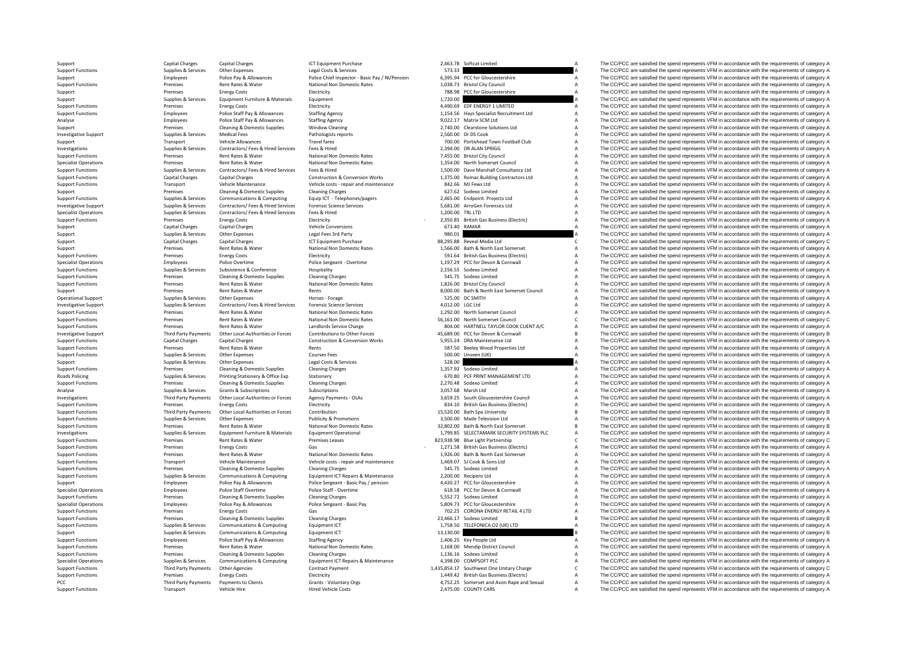| 2,463.78              | Softcat Limited                                                                  | A      |
|-----------------------|----------------------------------------------------------------------------------|--------|
| 573.33<br>6,395.94    | PCC for Gloucestershire                                                          | A<br>А |
| 1,038.73              | <b>Bristol City Council</b>                                                      | A      |
| 788.98                | PCC for Gloucestershire                                                          | A      |
| 1,720.00              |                                                                                  | A      |
| 4.490.69<br>1,154.56  | EDF ENERGY 1 LIMITED<br>Hays Specialist Recruitment Ltd                          | А<br>A |
| 9,022.17              | Matrix SCM Ltd                                                                   | A      |
|                       | 2,740.00 Clearstone Solutions Ltd                                                | A      |
| 2,560.00              | Dr DS Cook                                                                       | A      |
|                       | 700.00 Portishead Town Football Club                                             | A<br>A |
|                       | 2,394.00 DR ALAN SPRIGG<br>7,455.00 Bristol City Council                         | A      |
|                       | 1,354.00 North Somerset Council                                                  | A      |
|                       | 1,500.00 Dave Marshall Consultancy Ltd                                           | A      |
|                       | 1,375.00 Romac Building Contractors Ltd                                          | A<br>A |
| 627.62                | 842.66 MJ Fews Ltd<br>Sodexo Limited                                             | A      |
|                       | 2,465.00 Endpoint. Projects Ltd                                                  | A      |
| 5,681.00              | ArroGen Forensics Ltd                                                            | A      |
| 1,200.00              | <b>TRL LTD</b>                                                                   | A      |
| 2,350.85<br>673.40    | <b>British Gas Business (Electric)</b><br>RAMAR                                  | A<br>A |
| 980.01                |                                                                                  | A      |
| 88,295.88             | Reveal Media Ltd                                                                 | c      |
|                       | 1,566.00 Bath & North East Somerset                                              | A      |
|                       | 591.64 British Gas Business (Electric)<br>1,197.29 PCC for Devon & Cornwall      | A<br>A |
|                       | 2,156.55 Sodexo Limited                                                          | A      |
| 545.75                | Sodexo Limited                                                                   | A      |
|                       | 1,826.00 Bristol City Council                                                    | A      |
|                       | 8,000.00 Bath & North East Somerset Council                                      | A<br>A |
|                       | 525.00 DC SMITH<br>4,012.00 LGC Ltd                                              | A      |
|                       | 1,292.00 North Somerset Council                                                  | A      |
|                       | 56,161.00 North Somerset Council                                                 | c      |
|                       | 804.00 HARTNELL TAYLOR COOK CLIENT A/C<br>45,689.00 PCC for Devon & Cornwall     | A<br>B |
|                       | 5,955.24 DRA Maintenance Ltd                                                     | A      |
|                       | 587.50 Beeley Wood Properties Ltd                                                | A      |
| 500.00                | Unseen (UK)                                                                      | A<br>A |
| 528.00                | 1,357.92 Sodexo Limited                                                          | A      |
|                       | 670.80 PCF PRINT MANAGEMENT LTD                                                  | A      |
|                       | 2,270.48 Sodexo Limited                                                          | A      |
|                       | 3,057.68 Marsh Ltd                                                               | A<br>A |
|                       | 3,659.25 South Gloucestershire Council<br>834.10 British Gas Business (Electric) | A      |
| 15,520.00             | <b>Bath Spa University</b>                                                       | B      |
|                       | 3,500.00 Made Television Ltd                                                     | A      |
| 32,802.00<br>1,799.85 | Bath & North East Somerset<br>SELECTAMARK SECURITY SYSTEMS PLC                   | B<br>A |
|                       | 823,938.98 Blue Light Partnership                                                | C      |
|                       | 1,271.58 British Gas Business (Electric)                                         | A      |
|                       | 1,926.00 Bath & North East Somerset                                              | A      |
| 1,469.07              | SJ Cook & Sons Ltd                                                               | A<br>A |
| 545.75                | Sodexo Limited<br>2,200.00 Recipero Ltd                                          | A      |
| 4,420.27              | PCC for Gloucestershire                                                          | A      |
|                       | 618.58 PCC for Devon & Cornwall                                                  | A      |
|                       | 5,552.72 Sodexo Limited                                                          | A<br>A |
| 5,809.73<br>702.25    | PCC for Gloucestershire                                                          | A      |
|                       |                                                                                  |        |
| 23,466.17             | CORONA ENERGY RETAIL 4 LTD<br>Sodexo Limited                                     | B      |
| 1,758.50              | TELEFONICA O2 (UK) LTD                                                           | A      |
| 13,130.00             |                                                                                  | B      |
| 1,406.25              | Key People Ltd                                                                   | A      |
|                       | 1,168.00 Mendip District Council<br>1,136.16 Sodexo Limited                      | A<br>A |
|                       | 4,398.00 COMPSOFT PLC                                                            | A      |
| 1,435,854.17          | Southwest One Unitary Charge                                                     | c      |
| 1,449.42<br>4,752.25  | <b>British Gas Business (Electric)</b><br>Somerset and Avon Rape and Sexual      | A<br>A |

Support Capital Charges Capital Charges Capital Charges ICT Equipment Purchase 2,463.78 Softcat Limited A The CC/PCC are satisfied the spend represents VFM in accordance with the requirements of category A Support Limited Support Functions Supplies Services Other Expenses Legal Costs & Services Legal Costs & Services Legal Costs & Services Support Stategory A The CC/PCC are satisfied the spend represents VFM in accordance with the requireme Support Employees Police Pay & Allowances Police Chief Inspector - Basic Pay / NI/Pension 6,395.94 PCC for Gloucestershire A The CC/PCC are satisfied the spend represents VFM in accordance with the requirements of category Support Functions Premises Rent Rates & Water Mational Non Domestic Rates 1,038.73 Bristol City Council A The CC/PCC are satisfied the spend represents VFM in accordance with the requirements of category A Support Function Premises Energy Costs Electricity Electricity **1720.00** 788.98 PCC for Gloucestershire A The CC/PCC are satisfied the spend represents VFM in accordance with the requirements of category A Support Premises Environment and Support Support Supplies & Services Equipment Furniture & Materials Equipment Equipment and the service of the Service of the CC/PCC are satisfied the spend represents VFM in accordance with the requirements of category A Support Functions Premises Energy Costs Electricity Electricity Electricity 4,490.69 EDF ENERGY 1 LIMITED A The CC/PCC are satisfied the spend represents VFM in accordance with the requirements of category A Starting Arena Police Staff Pay & Allowances Staffing Agency entirely and the State of Collect Pay Specialist Recruitment Ltd A The CC/PCC are satisfied the spend represents VFM in accordance with the requirements of category A Police St Analyse Employees Police Staff Pay & Allowances Staffing Agency 9,022.17 Matrix SCM Ltd A The CC/PCC are satisfied the spend represents VFM in accordance with the requirements of category A The CC/PCC are satisfied the spe Support Premises Cleaning & Domestic Supplies Window Cleaning 2,740.00 Clearstone Solutions Ltd A The CC/PCC are satisfied the spend represents VFM in accordance with the requirements of category A Descriptions of category Medical Fees **Exercices Cook A The CC/PCC** are satisfied the spend represents VFM in accordance with the requirements of category A The CC/PCC are satisfied the spend represents VFM in accordance with the requirements of c Support Transport Vehicle Allowances Travel fares Travel fares Travel fares 700.00 Portishead Town Football Club A The CC/PCC are satisfied the spend represents VFM in accordance with the requirements of category A the cat Investigations Supplies & Services Contractors/ Fees & Hired Fees & Hired 2,394.00 DR ALAN SPRIGG A The CC/PCC are satisfied the spend represents VFM in accordance with the requirements of category A Services Paper Paper & Support Functions Premises Rent Rates & Water Mational Non Domestic Rates 7,455.00 Bristol City Council A The CC/PCC are satisfied the spend represents VFM in accordance with the requirements of category A Specialist Opera Specialist Operations Premises Rent Rates Rent Rates Rent Rates National Non Domestic Rates 1,354.00 North Somerset Council A The CC/PCC are satisfied the spend represents VFM in accordance with the requirements of categor The CC/PCC are satisfied the spend represents VFM in accordance with the requirements of category A Support Functions Capital Charges Capital Charges Capital Charges Construction & Conversion Works 1,375.00 Romac Building Contractors Ltd A The CC/PCC are satisfied the spend represents VFM in accordance with the requireme Transport Vehicle Maintenance Vehicle Costs - repair and maintenance 1991 842.66 MJ Fews Ltd A The CC/PCC are satisfied the spend represents VFM in accordance with the requirements of category A The CC/PCC are satisfied th Support Premises Cleaning & Domestic Supplies Cleaning Charges Cleaning Charges 627.62 Sodexo Limited A The CC/PCC are satisfied the spend represents VFM in accordance with the requirements of category A Support Premises S on the state of the control of the control of the control of the control of the control of the control of the control of the control of the control of the control of the control of the control of the control of the control Examples and the property of the contractors of the contractors of the contractors of the contractors of the contractors of the contractors of the contractors of the contractors of the contractors of the contractors of the Specialist Operations Supplies Services Contractors/ Fees & Hired Services Fees & Hired 1,200.00 TRL LTD A The CC/PCC are satisfied the spend represents VFM in accordance with the requirements of category A Supplies Servic Support Functions Premises Energy Costs Electricity Electricity - 2,350.85 British Gas Business (Electricity A The CC/PCC are satisfied the spend represents VFM in accordance with the requirements of category A Support Cat Support Capital Charges Capital Charges Capital Charges Vehicle Conversions Capital Charges Vehicle Conversions 673.40 RAMAR A The CC/PCC are satisfied the spend represents VFM in accordance with the requirements of catego Support Supplies Supplies & Services Other Expenses Legal Fees 3rd Party 980.01 980.01 980.01 A The CC/PCC are satisfied the spend represents VFM in accordance with the requirements of category C<br>Support Support Capital Ch Support Capital Charges Capital Charges ICT Equipment Purchase 88,295.88 Reveal Media Ltd C The CC/PCC are satisfied the spend represents VFM in accordance with the requirements of category C<br>Support Permises Rent Rates & Support Premises Rent Rates Mater National Non Domestic Rates 1,566.00 Bath & North East Somerset A The CC/PCC are satisfied the spend represents VFM in accordance with the requirements of category and the requirements of Support Functions Premises Energy Costs Electricity Electricity Support Electricity Support Electricity Support Electric CONNECTRICITY A The CC/PCC are satisfied the spend represents VFM in accordance with the requirements Specialist Operations Specialist Operations Police Overtime Police Overtime Police Sergeant - Overtime Police Sergeant - Overtime 1,197.29 PCC for Devon & Cornwall A The CC/PCC are satisfied the spend represents VFM in acc Support Functions Supplies Services Subsistence & Conference Hospitality Hospitality 2,156.55 Sodexo Limited A The CC/PCC are satisfied the spend represents VFM in accordance with the requirements of category A Support Fun Support Functions Premises Cleaning & Domestic Supplies Cleaning Charges Cleaning Charges Cleaning Charges Cleaning Charges Cleaning Charges Support Functions Premises Cleaning & Domestic Supplies Cleaning Charges Cleaning Rent Rates & Water National Non Domestic Rates 1,826.00 Bristol City Council A The CC/PCC are satisfied the spend represents VFM in accordance with the requirements of category A The CC/PCC are satisfied the spend represen Support Premises Rent Rates & Water Rents Rents Rents Rents Rents Rents Rents Rents And BOO.000 Bath & North East Somerset Council A The CC/PCC are satisfied the spend represents VFM in accordance with the requirements of Other Expenses Horses Forage Horses - Forage 525.00 DC SMITH SERVICES A The CC/PCC are satisfied the spend represents VFM in accordance with the requirements of category A The Criteria and the requirements of category A Th Investigative Support Support Support Services Contractors/ Fees & Hired Services Forensic Science Services 4,012.00 LGC Ltd A The CC/PCC are satisfied the spend represents VFM in accordance with the requirements of catego Support Functions Premises Rent Rates & Water National Non Domestic Rates 1,292.00 North Somerset Council A The CC/PCC are satisfied the spend represents VFM in accordance with the requirements of category A Support Functi Support Functions Premises Rent Rates Rent Rates Rent Rates National Non Domestic Rates S6,161.00 North Somerset Council C The CC/PCC are satisfied the spend represents VFM in accordance with the requirements of category C Support Functions Premises Rent Rates & Water Landlords Service Charge 804.00 HARTNELL TAYLOR COOK CLIENT A/C A The CC/PCC are satisfied the spend represents VFM in accordance with the requirements of category and the requ Investigative Support Third Party Payments Other Local Authorities or Forces Contributions to Other Forces 45,689.00 PCC for Devon & Cornwall B The CC/PCC are satisfied the spend represents VFM in accordance with the requirements of category B Support Functions Capital Charges Capital Charges Construction & Conversion Works 5,955.24 DRA Maintenance Ltd A The CC/PCC are satisfied the spend represents VFM in accordance with the requirements of category A The CC/PC Support Functions Premises Rent Rates & Water Rents Rents Rents Rents Rents Rents Rents Rents Rents Rents Rents Rents Rents A The CC/PCC are satisfied the spend represents VFM in accordance with the requirements of categor Support Functions Support Functions Support Functions Support Functions Supplies A The CC/PCC are satisfied the spend represents VFM in accordance with the requirements of category A The Crip in accordance with the require Support Support Supplies & Services Other Expenses Legal Costs & Services 528.00 A The CC/PCC are satisfied the spend represents VFM in accordance with the requirements of category A<br>Support Functions Supplies A Category A Support Functions Premises Cleaning & Domestic Supplies Cleaning Charges Cleaning Charges Cleaning Charges Cleaning Charges 1,357.92 Sodexo Limited A The CC/PCC are satisfied the spend represents VFM in accordance with the Roads Policing Supplies Services Printing Stationery & Office Exp Stationery and Stationery and Stationery and Stationery and Stationery and Stationery and Stationery and Stationery Cleaning Channel Channel Channel Channel Examples Cleaning & Domestic Supplies Cleaning Charges Cleaning Charges 2,270.48 Sodexo Limited A The CC/PCC are satisfied the spend represents VFM in accordance with the requirements of category A Superinting Superinting Analyse Supplies Services Grants & Subscriptions Subscriptions Subscriptions Subscriptions Subscriptions Subscriptions 3,057.68 Marsh Ltd A The CC/PCC are satisfied the spend represents VFM in accordance with the requireme Third Party Payments Other Local Authorities or Forces Agency Payments - OLAs 3,659.25 South Gloucestershire Council Marther and The CC/PCC are satisfied the spend represents VFM in accordance with the requirements of cate Support Functions Premises Energy Costs Electricity Electricity Business (Electricity and the spend represents VFM in accordance with the requirements of category A David Costs Electricity and the requirements of category Support Functions Third Party Payments Other Local Authorities or Forces Contribution 15,520.00 Bath Spa University B The CC/PCC are satisfied the spend represents VFM in accordance with the requirements of category B Supp The CC/PCC are satisfied the spend represents VFM in accordance with the requirements of category A Support Functions Premises Rent Rates & Water National Non Domestic Rates 32,802.00 Bath & North East Somerset B The CC/PCC are satisfied the spend represents VFM in accordance with the requirements of category B Investiga Equipment Furniture & Materials Equipment Operational exercise and the sected of the CCPCC are satisfied the spend represents VFM in accordance with the requirements of category A<br>Rent Batter Batter Demises Leases and the Support Functions Premises Rent Rates & Water Premises Leases 823,938.98 Blue Light Partnership C The CC/PCC are satisfied the spend represents VFM in accordance with the requirements of category C Support Functions Premises Energy Costs Gas - Gas - 1,271.58 British Gas Business (Electric) A The CC/PCC are satisfied the spend represents VFM in accordance with the requirements of category A Theoretic in a the requirem Support Functions Premises Rent Rates & Water National Non Domestic Rates 1,926.00 Bath & North East Somerset A The CC/PCC are satisfied the spend represents VFM in accordance with the requirements of category A Support Fu Vehicle Maintenance Vehicle costs - repair and maintenance 1,469.07 SJ Cook & Sons Ltd A The CC/PCC are satisfied the spend represents VFM in accordance with the requirements of category A S45.75 Sodex Umited A The CC/PCC Support Functions Premises Cleaning & Domestic Supplies Cleaning Charges Cleaning Charges Cleaning Charges Support Charges Support Functions A The CC/PCC are satisfied the spend represents VFM in accordance with the requir The CC/PCC are satisfied the spend represents VFM in accordance with the requirements of category A Support Employees Police Pay & Allowances Police Pay and Police Pay and Police Pay and Police Pay and Police Sergeant - Basic Pay / pension 4,420.27 PCC for Gloucestershire A The CC/PCC are satisfied the spend represents V Employees Police Staff Overtime Police Staff - Overtime Police Staff - Overtime Police Staff - Overtime Police Staff - Overtime 618.58 PCC for Devon & Cornwall A The CC/PCC are satisfied the spend represents VFM in accorda Support Functions Cleaning Cleaning Cleaning Cleaning Cleaning Cleaning Cleaning Charges 5,552.72 Sodexo Limited A The CC/PCC are satisfied the spend represents VFM in accordance with the requirements of category A Specialist Operations Specialist Operations Followers Police Pay & Allowances Police Pay & Allowances Police Pay 8, Allowances Police Pay 8, Allowances Police Pay 8, Allowances Police Pay 5, Allowance Pay 5, Allowance A Th Support Functions Premises Energy Costs Gas Costs Gas 702.25 CORONA ENERGY RETAIL 4 LTD A The CC/PCC are satisfied the spend represents VFM in accordance with the requirements of category A Support Functions Premises Clean Premises Cleaning & Domestic Supplies Cleaning Charges 23,466.17 Sodexo Limited B The CC/PCC are satisfied the spend represents VFM in accordance with the requirements of category B Support Functions Supplies Services Communications & Computing Equipment ICT Support 1,758.50 TELEFONICA O2 (UK) LTD A The CC/PCC are satisfied the spend represents VFM in accordance with the requirements of category A Sup Support Supplies Supplies & Services Communications & Computing Equipment ICT 13,130.00 B The CC/PCC are satisfied the spend represents VFM in accordance with the requirements of category B<br>Support Functions Support Employ The CC/PCC are satisfied the spend represents VFM in accordance with the requirements of category A Support Functions Premises Rent Rates & Water National Non Domestic Rates 1,168.00 Mendip District Council A The CC/PCC are satisfied the spend represents VFM in accordance with the requirements of category A Cleaning A Di Experies Support Functions Cleaning Charges Cleaning Charges 1,136.16 Sodexo Limited a The CC/PCC are satisfied the spend represents VFM in accordance with the requirements of category A Supplies Companications A Companica Supplies Supplies Services Communications & Computing Equipment ICT Repairs & Maintenance 4,398.00 COMPSOFT PLC AND A The CC/PCC are satisfied the spend represents VFM in accordance with the requirements of category A Supp Support Functions Third Party Payments Other Agencies Contract Payment Contract Payment 1,435,854.17 Southwest One Unitary Charge C The CC/PCC are satisfied the spend represents VFM in accordance with the requirements of c Energy Costs Business Electricity Electricity 1,449.42 British Gas Business (Electric) A The CC/PCC are satisfied the spend represents VFM in accordance with the requirements of category A Thin accordance with the requirem PCC Third Party Payments Payments Payments of Clients Grants - Voluntary Orgs 4,752.25 Somerset and Avon Rape and Sexual A The CC/PCC are satisfied the spend represents VFM in accordance with the requirements of category A The CC/PCC are satisfied the spend represents VFM in accordance with the requirements of category A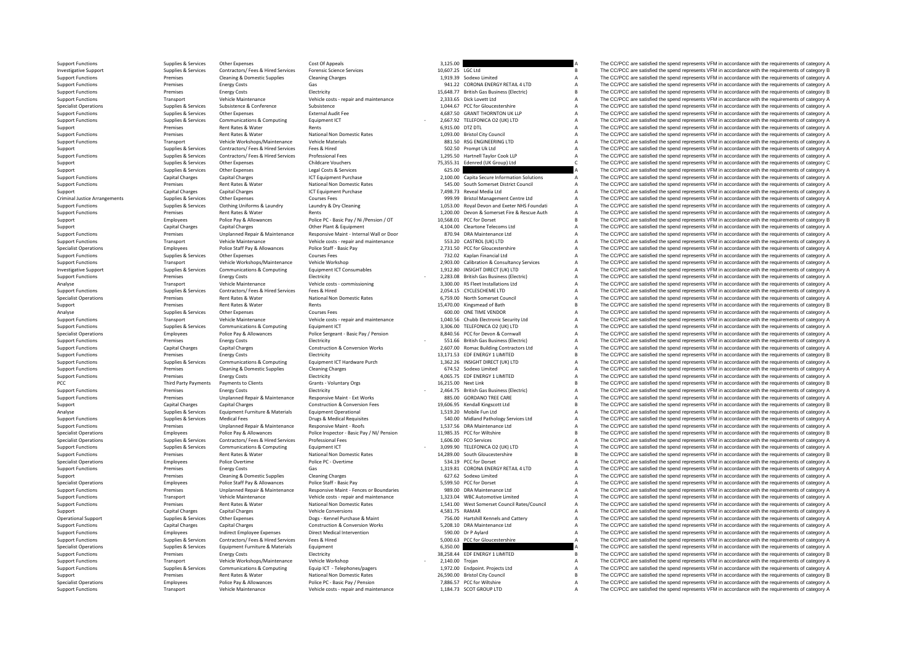Support Functions Supplies Services Other Expenses Cost Of Appeals Cost Of Appeals A Support The CC/PCC are satisfied the spend represents VFM in accordance with the requirements of category A Department of category A Depa Investigative Support Supplies & Services Contractors/ Fees & Hired Services Forensic Science Services Forensic Science Services Support B The CC/PCC are satisfied the spend represents VFM in accordance with the requiremen Support Functions Premises Cleaning & Domestic Supplies Cleaning Charges Cleaning Charges Cleaning Charges Cleaning Charges 1,919.39 Sodexo Limited A The CC/PCC are satisfied the spend represents VFM in accordance with the Support Functions Premises Energy Costs Category A Costs Gas 941.22 CORONA ENERGY RETAIL 4 LTD A The CC/PCC are satisfied the spend represents VFM in accordance with the requirements of category A Support Functions Premise Support Functions Premises Energy Costs Electricity Electricity Electricity 15,648.77 British Gas Business (Electricity B The CC/PCC are satisfied the spend represents VFM in accordance with the requirements of category B Support Functions Transport Vehicle Maintenance Vehicle costs - repair and maintenance 2,333.65 Dick Lovett Ltd A The CC/PCC are satisfied the spend represents VFM in accordance with the requirements of category A Support Specialist Operations Supplies Subsistence Subsistence Subsistence Subsistence Subsistence Subsistence Subsistence Subsistence Subsistence Subsistence (Subsistence 2001)  $\frac{1}{2}$  a The CC/PCC are satisfied the spend repre Supplies & Services Other Expenses External Audit Fee 4,687.50 GRANT THORNTON UK LLP A The CC/PCC are satisfied the spend represents VFM in accordance with the requirements of category A<br>Support of the spending and the req Support Functions Supplies Services Communications & Computing Equipment ICT - 2,667.92 TELEFONICA O2 (UK) LTD A The CC/PCC are satisfied the spend represents VFM in accordance with the requirements of category A<br>Support P Support Premises Rent Rates & Water Rents Rents Rents Rents 6,915.00 DTZ DTL A The CC/PCC are satisfied the spend represents VFM in accordance with the requirements of category A Premises Rent Rates & Water National Non Do Support Functions Premises Rent Rates & Water National Non Domestic Rates 1,093.00 Bristol City Council A The CC/PCC are satisfied the spend represents VFM in accordance with the requirements of category A Support Function Support Functions Transport Vehicle Workshops/Maintenance Vehicle Materials 881.50 RSG ENGINEERING LTD A The CC/PCC are satisfied the spend represents VFM in accordance with the requirements of category A Support UFM in ac Support Supplies Services Contractors/ Fees & Hired Services Fees & Hired Services Fees & Hired Services Fees & Hired Services Fees & Hired Services Fees & Hired Services Fees & Hired Services Fees & Hired Services Profess Support Functions Supplies & Support Performances Contractors/ Fees & Hired Services Professional Fees exercised Professional Fees exercises and the man and the man and the computer of the CO/PCC are satisfied the spend re Support Supplies Services Other Expenses Childcare Vouchers Childcare Vouchers 75,355.31 Edenred (UK Group) Ltd C The CC/PCC are satisfied the spend represents VFM in accordance with the requirements of category C<br>Support SUPPORT SUPPORT SUPPORT SUPPORT SUPPORT SUPPORT SUPPORT SUPPORT SUPPORT SUPPORT SUPPORT SUPPORT OF CONSTRUCT A<br>A The CC/PCC are satisfied the spend represents VFM in accordance with the requirements of category A Support Functions Capital Charges Capital Charges Capital Charges 2,100.00 Capita Secure Information Solutions A The CC/PCC are satisfied the spend represents VFM in accordance with the requirements of category A Support F Support Functions Premises Rent Rates Rent Rates National Non Domestic Rates 545.00 South Somerset District Council A The CC/PCC are satisfied the spend represents VFM in accordance with the requirements of category A Capi Support Capital Charges Capital Charges Capital Charges ICT Equipment Purchase 7,498.73 Reveal Media Ltd A The CC/PCC are satisfied the spend represents VFM in accordance with the requirements of category A Critical Ltd A Criminal Justice Arrangements Supplies & Services Other Expenses Courses Courses Fees Courses Fees Courses Fees Courses Fees Supplies A The CC/PCC are satisfied the spend represents VFM in accordance with the requirements Supplies Supplies Services Clothing Uniforms & Laundry Laundry Buy Cleaning Carry 1,053.00 Royal Devon and Exeter NHS Foundati A The CC/PCC are satisfied the spend represents VFM in accordance with the requirements of cate Support Functions Premises Rent Rates & Water Rents Rents Rents Rents Rents 1,200.00 Devon & Somerset Fire & Rescue Auth A The CC/PCC are satisfied the spend represents VFM in accordance with the requirements of category A Support Employees Police Pay & Allowances Police PC - Basic Pay / Ni /Pension / OT 10,568.01 PCC for Dorset B The CC/PCC are satisfied the spend represents VFM in accordance with the requirements of category B Correct B an Support Capital Charges Capital Charges Capital Charges Capital Charges Capital Charges Capital Charges Capital Charges Capital Charges Capital Charges Capital Charges Capital Charges Capital Charges Capital Charges Capita of the control of the control of the premises and the control of the control of the control of the control of the control of the control of the control of the control of the control of the control of the control of the con Support Functions Transport Vehicle Maintenance Vehicle costs - repair and maintenance 553.20 CASTROL (UK) LTD A The CC/PCC are satisfied the spend represents VFM in accordance with the requirements of category A The Cripc Employees Police Staff Pay & Allowances Police Staff - Basic Pay 2,731.50 PCC for Gloucestershire A The CC/PCC are satisfied the spend represents VFM in accordance with the requirements of category A Curres East Courses Fe Support Functions Supplies Services Other Expenses Courses Fees Courses Fees 732.02 Kaplan Financial Ltd A The CC/PCC are satisfied the spend represents VFM in accordance with the requirements of category A Support Functio Support Functions Transport Vehicle Workshops/Maintenance Vehicle Workshop 2,903.00 Calibration & Consultancy Services A The CC/PCC are satisfied the spend represents VFM in accordance with the requirements of category A I  ${\it Investigative Support}$   ${\it Inperigative Support}$   ${\it Inperigive Support}$   ${\it Inperigive and representation}$   ${\it Inperigive and expression}$   ${\it Inperigive and expression}$   ${\it Inperigive and expression}$   ${\it Inperigive and expression}$   ${\it Inperigive and expression}$   ${\it Inperigive and expression}$   ${\it Inperigive and expression}$   ${\it Inperigive and expression}$   ${\it Inperigive and expression}$   ${\it Inperigive and expression}$   ${\it Inperigive and expression}$   ${\it Inperigive and expression}$   ${\it Inperigive and expression}$   ${\it Inperigive and expression}$   ${\it Inperigive and expression$ Support Functions Premises Energy Costs Electricity - Electricity - 2,283.08 British Gas Business (Electricity A The CC/PCC are satisfied the spend represents VFM in accordance with the requirements of category A Analyse T Analyse Transport Vehicle Maintenance Vehicle Costs - commissioning 3,300.00 RS Fleet Installations Ltd A The CC/PCC are satisfied the spend represents VFM in accordance with the requirements of category A The CC/PCC are s Support Functions Supplies Services Contractors/ Fees & Hired Services Fees & Hired Hired Press & Mater Press Andre 2,054.15 CYCLESCHEME LTD A The CC/PCC are satisfied the spend represents VFM in accordance with the requir Specialist Operations Premises Rent Rates Americans Communications A The CC/PCC are satisfied the spend represents VFM in accordance with the requirements of category A The CC/PCC are satisfied the spend represents VFM in Support Premises Rent Rents Rents Rents Rents Rents Rents Rents Rents Rents Rents Rents Rents Rents Rents Rents Rents Rents Rents Rents Rents Rents Rents Rents Rents Rents Rents Rents Rents Rents Rents Rents Rents Rents Re Analyse Supplies Services Other Expenses Courses Fees Courses Fees 600.00 ONE TIME VENDOR COURS THE COMPONE A The COMPONE are satisfied the spend represents VFM in accordance with the requirements of category A Support Fun Transport Vehicle Maintenance Vehicle Costs - repair and maintenance 1,040.56 Chubb Electronic Security Ltd Maintenance A The CC/PCC are satisfied the spend represents VFM in accordance with the requirements of category A Support Functions Supplies & Services Communications & Computing Equipment ICT 3,306.00 TELEFONICA O2 (UK) LTD A The CC/PCC are satisfied the spend represents VFM in accordance with the requirements of category A The Cripm Specialist Operations and the control of the equirements of category A and the equirements of category A and the company of the COPC are satisfied the spend represents VFM in accordance with the requirements of category A Support Functions Premises Energy Costs Electricity Electricity - 551.66 British Gas Business (Electricity A The CC/PCC are satisfied the spend represents VFM in accordance with the requirements of category A Contractor an Support Functions Capital Charges Capital Charges Capital Charges Construction & Conversion Works 2,607.00 Romac Building Contractors Ltd A The CC/PCC are satisfied the spend represents VFM in accordance with the requireme Support Functions Premises Energy Constant Premises The CC/PCC are satisfied the spend represents VFM in accordance with the requirements of category B The CC/PCC are satisfied the spend represents VFM in accordance with t Support Functions Supplies Services Communications & Computing Equipment ICT Hardware Purch 1,362.26 INSIGHT DIRECT (UK) LTD A The CC/PCC are satisfied the spend represents VFM in accordance with the requirements of catego Support Functions Premises Cleaning & Domestic Supplies Cleaning Charges Cleaning Charges Cleaning Charges Cleaning Charges Cleaning Charges Functions and the spend represents VFM in accordance with the requirements of cat Electricity Energy Costs Electricity Electricity (A) and the Support Functions Premises Energy Costs Electricity Electricity (A) and the Support Third Party Party Party Party Party Party Party Party Party Party Party Party PCC Third Party Payments Payments of Clients Clients Grants - Voluntary Orgs 16,215.00 Next Link B The CC/PCC are satisfied the spend represents VFM in accordance with the requirements of category B Server Costes 16,215.00 Support Functions Premises Energy Costs Energy Costs Electricity Electricity - 2,464.75 British Gas Business (Electricity A The CC/PCC are satisfied the spend represents VFM in accordance with the requirements of category Support Functions Premises Unplanned Repair & Maintenance Responsive Maint - Ext Works 885.00 GORDANO TREE CARE A The CC/PCC are satisfied the spend represents VFM in accordance with the requirements of category A Capital Support Capital Charges Capital Charges Capital Charges Construction & Conversion Fees 19,606.95 Kendall Kingscott Ltd B The CC/PCC are satisfied the spend represents VFM in accordance with the requirements of category B C Analyse Supplies Services Equipment Furniture & Materials Equipment Operational 1,519.20 Mobile Fun Ltd A The CC/PCC are satisfied the spend represents VFM in accordance with the requirements of category A Supplies & Servi Support Functions Support Functions Supplies A The CC/PCC are satisfied the spend represents VFM in accordance with the requirements of category A The CC/PCC are satisfied the spend represents VFM in accordance with the re Support Functions Premises Premises Unplanned Repair & Maintenance Responsive Maint - Roofs 1,537.56 DRA Maintenance Ltd A The CC/PCC are satisfied the spend represents VFM in accordance with the requirements of category B Specialist Operations Specialist Approximations Employees Police Pay & Allowances Police Pay & Allowances Police Inspector - Basic Pay/ NI/ Pension 11,985.35 PCC for Willshire Beauth and The CC/PCC are satisfied the spend Specialist Operations Supplies A The CC/PCC are satisfied the spend represents VFM in accordance with the requirements of category A The CC/PCC are satisfied the spend represents VFM in accordance with the requirements of Support Functions Supplies & Services Communications & Computing Equipment ICT - 3,099.90 TELEFONICA O2 (UK) LTD A The CC/PCC are satisfied the spend represents VFM in accordance with the requirements of category A The Cre Support Functions Premises Rent Rates Rent Rates Rent Rates National Non Domestic Rates 14,289.00 South Gloucestershire B The CC/PCC are satisfied the spend represents VFM in accordance with the requirements of category B Specialist Operations Police PC - Overtime Police PC - Overtime 534.19 PCC for Dorset A The CC/PCC are satisfied the spend represents VFM in accordance with the requirements of category A The CC/PCC are satisfied the spend Support Functions Premises Energy Costs Gas Gas Gas 1,319.81 CORONA ENERGY RETAIL 4 LTD A The CC/PCC are satisfied the spend represents VFM in accordance with the requirements of category A Support Functions Premises Energ Support Premises Cleaning & Domestic Supplies Cleaning Charges Cleaning Charges Cleaning Charges Cleaning Charges 627.62 Sodexo Limited A The CC/PCC are satisfied the spend represents VFM in accordance with the requirement Specialist Operations Specialist Operations Follow Employees Police Staff Pay & Allowances Police Staff - Basic Pay Fasic Pay Fasic Pay 5,599.50 PCC for Dorset A The CC/PCC are satisfied the spend represents VFM in accorda Premises Unplanned Repair & Maintenance Responsive Maint - Fences or Boundaries 989.00 DRA Maintenance Ltd A The CC/PCC are satisfied the spend represents VFM in accordance with the requirements of category A Support Functions Transport Vehicle Maintenance Vehicle Costs - repair and maintenance 1,323.04 WBC Automotive Limited A The CC/PCC are satisfied the spend represents VFM in accordance with the requirements of category A Support Functions Premises Rent Rates Rent Rates National Non Domestic Rates 1,541.00 West Somerset Council Rates/Council A The CC/PCC are satisfied the spend represents VFM in accordance with the requirements of category Support Capital Charges Capital Charges Vehicle Conversions Vehicle Conversions 4,581.75 RAMAR A The CC/PCC are satisfied the spend represents VFM in accordance with the requirements of category A Dues-Kennel Purchase & Ma Operational Support Supplies & Services Other Expenses Dogs - Kennel Purchase & Maint 756.00 Hartshill Kennels and Cattery A The CC/PCC are satisfied the spend represents VFM in accordance with the requirements of category Capital Charges Construction & Conversion Works 5,208.10 DRA Maintenance Ltd A The CC/PCC are satisfied the spend represents VFM in accordance with the requirements of category A Construction Struction Secure Secure 1990.0 Support Functions Employees and intertet Employee Expenses Direct Medical Intervention Direct Medical Intervention 590.00 Dr P Aylard A The CC/PCC are satisfied the spend represents VFM in accordance with the requirements The CC/PCC are satisfied the spend represents VFM in accordance with the requirements of category A Specialist Operations Supplies Services Equipment Furniture & Materials Equipment Equipment Compact Compact Compact Compact Compact Compact Compact Compact Compact A Service Are and the requirements of category A Services The CC/PCC are satisfied the spend represents VFM in accordance with the requirements of category B Support Functions Transport Vehicle Workshops/Maintenance Vehicle Workshop - 2,140.00 Trojan - 2,140.00 Trojan - 2,140.00 Trojan A The CC/PCC are satisfied the spend represents VFM in accordance with the requirements of ca Support Functions Supplies & Services Communications & Computing Equip ICT - Telephones/pagers 1,972.00 Endpoint. Projects Ltd A The CC/PCC are satisfied the spend represents VFM in accordance with the requirements of category A Support Premises Rent Rates & Water National Non Domestic Rates 26,590.00 Bristol City Council 20,000 Bristol City Council B The CC/PCC are satisfied the spend represents VFM in accordance with the requirements of category Specialist Operations Specialist Operations Followers Police Pay & Allowances Police PC - Basic Pay / Pension Police PC - Basic Pay / Pension 7,886.57 PCC for Willshire A The CC/PCC are satisfied the spend represents VFM i The CC/PCC are satisfied the spend represents VFM in accordance with the requirements of category A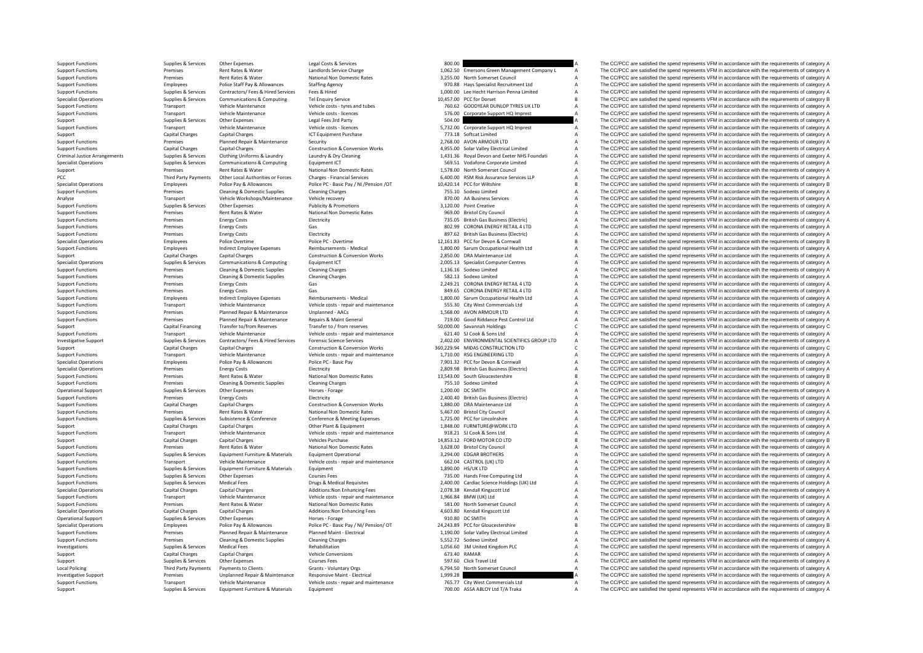Support Functions Supplies Services Other Expenses Legal Costs & Services Services Support Contract Costs and Development Company and the CC/PCC are satisfied the spend represents VFM in accordance with the requirements of Support Functions Premises Rent Rates & Water Landlords Service Charge 1,062.50 Emersons Green Management Company L A The CC/PCC are satisfied the spend represents VFM in accordance with the requirements of category A Supp Support Functions Premises Rent Rates Rent Rates Rent Rates National Non Domestic Rates 3,255.00 North Somerset Council A The CC/PCC are satisfied the spend represents VFM in accordance with the requirements of category A Support Functions Employees Police Staff Pay & Allowances Staffing Agency 970.88 Hays Specialist Recruitment Ltd A The CC/PCC are satisfied the spend represents VFM in accordance with the requirements of category A Support For the content of the content of the content of the content of the content of the content of the content of the content of the content of the content of the content of the content of the content of the content of the cont Specialist Operations Supplies Services Communications & Computing Tel Enquiry Service Tel Enquiry Service 10,457.00 PCC for Dorset B The CC/PCC are satisfied the spend represents VFM in accordance with the requirements of Support Functions Transport Vehicle Maintenance Vehicle costs - tyres and tubes 760.62 GOODYEAR DUNLOP TYRES UK LTD A The CC/PCC are satisfied the spend represents VFM in accordance with the requirements of category A Theo Vehicle costs - licences 576.00 Corporate Support HQ Imprest A The CC/PCC are satisfied the spend represents VFM in accordance with the requirements of category A ST6.00 Corporate Support HQ Imprest A The CC/PCC are satisf Support Support Support Support Support Support Support Support Support Support Support Support Support Support Support Support Support Support Support Support Support Support Support Support Support Support Support Suppor Support Functions Transport Vehicle Maintenance Vehicle costs - licences Support Control of Corporate Support HQ Imprest A The CC/PCC are satisfied the spend represents VFM in accordance with the requirements of category A Support Capital Charges Capital Charges Capital Charges Capital Charges ICT Equipment Purchase 1CT Equipment Purchase 773.18 Softcat Limited A The CC/PCC are satisfied the spend represents VFM in accordance with the requir Support Functions Premises Planned Repair & Maintenance Security 2,768.00 AVON ARMOUR LTD A The CC/PCC are satisfied the spend represents VFM in accordance with the requirements of category A Support Functions Capital Charges Capital Charges Capital Charges Construction & Conversion Works 4,955.00 Solar Valley Electrical Limited A The CC/PCC are satisfied the spend represents VFM in accordance with the requirem Criminal Justice Arrangements Supplies & Services Clothing Uniforms & Laundry Laundry Abry Cleaning by Cleaning 1993.36 Royal Devon and Exeter NHS Foundati A The CC/PCC are satisfied the spend represents VFM in accordance Specialist Operations Supplies Services Communications & Computing Equipment ICT 569.51 Vodafone Corporate Limited A The CC/PCC are satisfied the spend represents VFM in accordance with the requirements of category A Suppl SUPPORT A The CC/PCC are satisfied the spend represents VFM in accordance with the requirements of category A<br>A The CC/PCC are satisfied the spend represents VFM in accordance with the requirements of category A Third Party Payments Other Local Authorities or Forces Charges - Financial Services Charges - Financial Services Charges - Financial Services (6) 400.00 ASM Risk Assurance Services LLP A The CC/PCC are satisfied the spend Specialist Operations Cleaning Scheme (Specialist Operations of the Company of Police Police Police Police PC-Basic Pay / NI / Pension / OT 10,420.14 PCC for Willshire Basic Basic Basic Basic Development of category B<br>Sunn Cleaning & Domestic Supplies Cleaning Charges Cleaning Charges Cleaning Charges 755.10 Sodexo Limited A The CC/PCC are satisfied the spend represents VFM in accordance with the requirements of category A The Criptocare sat Analyse Transport Vehicle Workshops/Maintenance Vehicle recovery 870.00 AA Business Services A The CC/PCC are satisfied the spend represents VFM in accordance with the requirements of category A Support of the Equirements Support Functions Supplies Services Other Expenses Publicity & Promotions Publicity & Promotions 3,120.00 Point Creative A The CC/PCC are satisfied the spend represents VFM in accordance with the requirements of category A Support Functions Premises Rent Rates & Water National Non Domestic Rates 969.00 Bristol City Council A The CC/PCC are satisfied the spend represents VFM in accordance with the requirements of category A<br>Support Functions Support Functions Premises Energy Costs Electricity Electricity 735.05 British Gas Business (Electricity A The CC/PCC are satisfied the spend represents VFM in accordance with the requirements of category A Support Functio support Functions Premises Energy Costs Gas 802.99 CORONA ENERGY RETAIL 4 LTD A The CC/PCC are satisfied the spend represents VFM in accordance with the requirements of category A<br>Support Functions Premises Energy Costs Ga Support Functions Premises Energy Costs Electricity Beat Electricity Beat and the Support Electricity and the spend represents VFM in accordance with the requirements of category A<br>Specialist Operations Specialist Deration Specialist Operations Employees Police Police Poertime Police PC - Overtime Police PC - Overtime 12,161.83 PCC for Devon & Cornwall B The CC/PCC are satisfied the spend represents VFM in accordance with the requirements of Employees Indirect Employee Expenses Reimbursements - Medical 1,800.00 Sarum Occupational Health Ltd A The CC/PCC are satisfied the spend represents VFM in accordance with the requirements of category A Construction & Cons Support Capital Charges Capital Charges Capital Charges Construction & Conversion Works 2,850.00 DRA Maintenance Ltd A The CC/PCC are satisfied the spend represents VFM in accordance with the requirements of category A Spe Specialist Operations Supplies Services Communications & Computing Equipment ICT Services Computer Centres 2,005.13 Specialist Computer Centres A The CC/PCC are satisfied the spend represents VFM in accordance with the req Support Functions Premises Cleaning & Domestic Supplies Cleaning Charges Cleaning Charges Cleaning Charges 1,136.16 Sodexo Limited A The CC/PCC are satisfied the spend represents VFM in accordance with the requirements of Support Functions Premises Cleaning & Domestic Supplies Cleaning Charges Cleaning Charges Cleaning Charges Cleaning Charges Cleaning Charges 582.13 Sodexo Limited A The CC/PCC are satisfied the spend represents VFM in acco Support Functions Premises Energy Costs Gas Costs Gas 2,249.21 CORONA ENERGY RETAIL 4.1TD A The CC/PCC are satisfied the spend represents VFM in accordance with the requirements of category A The CC/PCC are satisfied the s Support Functions Premises Energy Costs Gas Gas Gas Benefical Costs CORONA ENERGY RETAIL 4 LTD A The CC/PCC are satisfied the spend represents VFM in accordance with the requirements of category A Support Functions Enploye Support Functions Employees Indicate The CC/PCC are satisfied the spend represents VFM in accordance with the requirements of category A The CC/PCC are satisfied the spend represents VFM in accordance with the requirements Support Functions Transport Vehicle Maintenance Vehicle costs - repair and maintenance 555.30 City West Commercials Ltd A The CC/PCC are satisfied the spend represents VFM in accordance with the requirements of category A Support Functions Premises Planned Repair & Maintenance Unplanned - AACs 1,568.00 AVON ARMOUR LTD A The CC/PCC are satisfied the spend represents VFM in accordance with the requirements of category A<br>Support Functions Prem Support Functions Premises Planned Repair & Maintenance Repairs & Maint General 719.00 Good Riddance Pest Control Ltd A The CC/PCC are satisfied the spend represents VFM in accordance with the requirements of category A Su Support Capital Financing Transfer to/from Reserves Transfer to / from reserves S0,000.00 Savannah Holdings C The CC/PCC are satisfied the spend represents VFM in accordance with the requirements of category C The Creation Support Functions Transport Vehicle Maintenance Vehicle costs - repair and maintenance Cases and Maintenance Costs - repair and maintenance of the Support Transport Supplies & Services Contractors/ Fees & Hired Services Fo Supplies & Services Contractors/Fees & Hired Services Forensic Science Services Porensic Science Services Cantractors Cantractors Cantractors Cantractors Cantractors Cantractors Cantractors Cantractors Cantractors Cantract Support Capital Charges Capital Charges Capital Charges Construction & Conversion Works 360,229.94 MIDAS CONSTRUCTION LTD C The CC/PCC are satisfied the spend represents VFM in accordance with the requirements of category Vehicle costs - repair and maintenance 1,710.00 RSG ENGINEERING LTD A The CC/PCC are satisfied the spend represents VFM in accordance with the requirements of category A<br>Police PC - Rasic Pay and the creation of category A Specialist Operations Employees Police Pay & Allowances Police PC - Basic Pay 7,901.32 PCC for Devon & Cornwall A The CC/PCC are satisfied the spend represents VFM in accordance with the requirements of category A The Crim Specialist Operations Specialist Operations Premises Energy Costs Electricity Electricity Deciricity 2,809.98 British Gas Business (Electricity A The CC/PCC are satisfied the spend represents VFM in accordance with the req Support Functions Premises Rent Rates & Water National Non Domestic Rates 13,543.00 South Gloucestershire B The CC/PCC are satisfied the spend represents VFM in accordance with the requirements of category B Support Functi Premises Cleaning & Domestic Supplies Cleaning Charges 755.10 Sodexo Limited 755.10 Some and The CC/PCC are satisfied the spend represents VFM in accordance with the requirements of category A<br>Sunnlies & Services Other Fu Operational Support Supplies A Services Other Expenses Horses Horses Forage Horses Forage 1,200.00 DC SMITH A The CC/PCC are satisfied the spend represents VFM in accordance with the requirements of category A Support Func Support Functions Premises Energy Costs Electricity Electricity Electricity 2,400.40 British Gas Business (Electricity A The CC/PCC are satisfied the spend represents VFM in accordance with the requirements of category A S Support Functions Capital Charges Capital Charges Capital Charges Construction & Conversion Works 1,880.00 DRA Maintenance Ltd A The CC/PCC are satisfied the spend represents VFM in accordance with the requirements of cate Support Functions Premises Rent Rates Rent Rates Rent Rates Rent Rates Rent Rates Rent Rates Rent Rates Rent Rates Rent Rates Rent Rates Rent Rates Rent Rates Rent Rent Rent Rates Rent Rent Rates Rent Rent Rates Conference Support Functions Support Functions A Service Conference A The CONFERENC are satisfied the spend represents VFM in accordance with the requirements of category A The CC/PCC are satisfied the spend represents VFM in accorda Support Capital Charges Capital Charges Capital Charges Capital Charges Other Plant & Equipment Charges Other Plant & Equipment 1,848.00 FURNITURE@WORK LTD A The CC/PCC are satisfied the spend represents VFM in accordance Transport Vehicle Maintenance Vehicle Costs - repair and maintenance 918.21 SJ Cook & Sons Ltd A The CC/PCC are satisfied the spend represents VFM in accordance with the requirements of category A Vehicles Purchase Vehicle Support Capital Charges Capital Charges Vehicles Purchase Vehicles Purchase 14,853.12 FORD MOTOR CO LTD B The CC/PCC are satisfied the spend represents VFM in accordance with the requirements of category B Support Functions Premises Rent Rates & Water National Non Domestic Rates 3,628.00 Bristol City Council A The CC/PCC are satisfied the spend represents VFM in accordance with the requirements of category A Support Function Support Functions Supplies Services Equipment Furniture & Materials Equipment Operational Equipment Operational 3,294.00 EDGAR BROTHERS A The CC/PCC are satisfied the spend represents VFM in accordance with the requirement Transport Vehicle Maintenance Vehicle Costs - repair and maintenance 662.04 CASTROL (UK) LTD A The CC/PCC are satisfied the spend represents VFM in accordance with the requirements of category A<br>Supplies & Services Equipme Support Functions Supplies & Services Equipment Funiture & Materials Equipment |<br>
Support Functions Supplies Agencies Other Expenses Courses Fees Courses Courses Fees 735.00 Hands Free Computing Ltd A The CC/PCC are satisf A The CC/PCC are satisfied the spend represents VFM in accordance with the requirements of category A Support Functions Supplies Services Medical Fees Drugs & Medical Requisites Drugs & Medical Requisites Drugs & Medical Requires Drugs & Medical Requires 2,400.00 Cardiac Science Holdings (UK) Ltd A The CC/PCC are satisfied The CC/PCC are satisfied the spend represents VFM in accordance with the requirements of category A Support Functions Transport Vehicle Maintenance Vehicle Costs - repair and maintenance 1,966.84 BMW (UK) Ltd A The CC/PCC are satisfied the spend represents VFM in accordance with the requirements of category A The CC/PCC Support Functions Premises Rent Rates & Water Mational Non Domestic Rates Sales Sales Sales Sales Sales Sales Sales Sales And The CC/PCC are satisfied the spend represents VFM in accordance with the requirements of categor Specialist Operations Capital Charges Capital Charges Additions:Non Enhancing Fees 4,603.80 Kendall Kingscott Ltd A The CC/PCC are satisfied the spend represents VFM in accordance with the requirements of category A Decret A The CC/PCC are satisfied the spend represents VFM in accordance with the requirements of category A Specialist Operations Scheme (Separations Employees Police Pay & Allowances Police PC - Basic Pay / Ni/ Pension/ OT 24,243.89 PCC for Gloucestershire Basic Pay The CC/PCC are satisfied the spend represents VFM in accordanc Support Functions Support Premises Planned Repair & Maintenance Planned Maint - Electrical Maint - Electrical<br>
Support Functions Support Functions (Premises Cleaning & Domestic Supplies Cleaning Charges Cleaning Change Cle Support Functions Cleaning Cleaning Cleaning Cleaning Cleaning A The CC/PCC are satisfied the spend represents VFM in accordance with the requirements of category A The CC/PCC are satisfied the spend represents VFM in acco Investigations Supplies Services Medical Fees Rehabilitation Rehabilitation Medical Term and the COM COMMON COMMON A The CC/PCC are satisfied the spend represents VFM in accordance with the requirements of category A Suppo Support Capital Charges Capital Charges Vehicle Conversions Capital Charges Vehicle Conversions Capital Charges Vehicle Conversions 673.40 RAMAR A The CO/PCC are satisfied the spend represents VFM in accordance with the re Support Support Support Support Support Support Support Support Support Support Support Support Support Support Support Support Support Support Support Support Support Support Support Support Support Support Support Suppor Payments to Clients Crains Policinary Orgs 6,794.50 North Somerset Council A The CC/PCC are satisfied the spend represents VFM in accordance with the requirements of category A Clients and the requirements of category A Th Investigative Support Premises Premises Diplanned Repair & Maintenance Responsive Maint - Electrical 1,999.28 A The CC/PCC are satisfied the spend represents VFM in accordance with the requirements of category A Support Fu Support Functions Transport Vehicle Maintenance Vehicle costs - repair and maintenance 765.77 City West Commercials Ltd A The CC/PCC are satisfied the spend represents VFM in accordance with the requirements of category A The CC/PCC are satisfied the spend represents VFM in accordance with the requirements of category A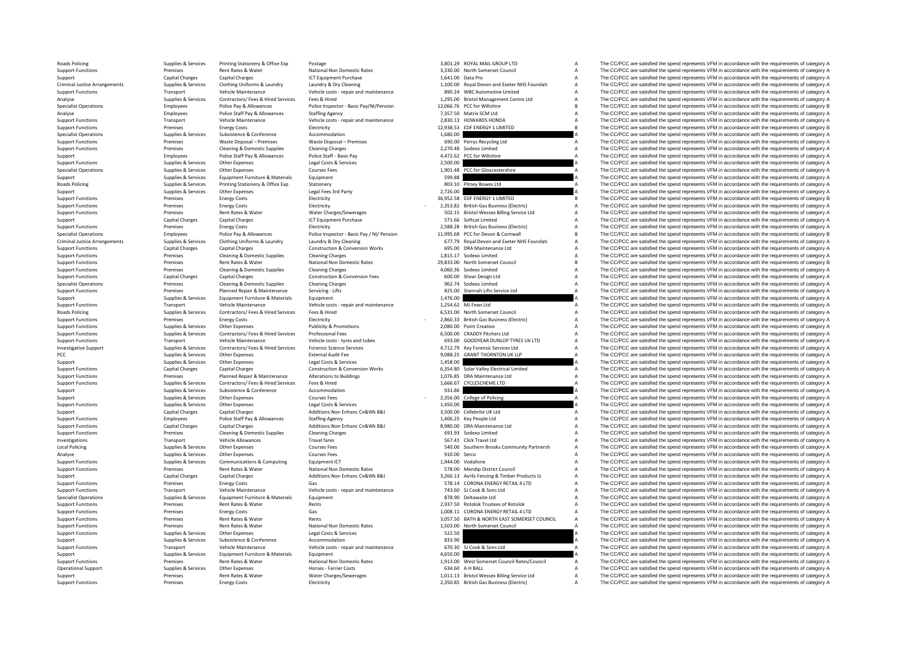| 3,801.29  | ROYAL MAIL GROUP LTD                       | A |
|-----------|--------------------------------------------|---|
| 3,330.00  | North Somerset Council                     | A |
| 1,641.00  | Data Pro                                   | A |
|           |                                            | A |
| 1.100.00  | Royal Devon and Exeter NHS Foundati        |   |
| 890.24    | <b>WBC Automotive Limited</b>              | A |
| 1,295.00  | <b>Bristol Management Centre Ltd</b>       | A |
| 12,066.76 | PCC for Wiltshire                          | B |
| 7,357.50  | Matrix SCM Ltd                             | A |
| 2,830.13  | <b>HOWARDS HONDA</b>                       | A |
| 12,938.53 | EDF ENERGY 1 LIMITED                       | B |
| 1.680.00  |                                            | Δ |
| 690.00    |                                            | Δ |
|           | Perrys Recycling Ltd                       |   |
| 2,270.48  | Sodexo Limited                             | Δ |
| 4,472.62  | PCC for Wiltshire                          | Δ |
| 2,500.00  |                                            | A |
| 1,901.48  | PCC for Gloucestershire                    | Ą |
| 599.88    |                                            | A |
| 803.10    | Pitney Bowes Ltd                           | Ą |
| 2,726.00  |                                            | Ą |
|           | 36,952.58 EDF ENERGY 1 LIMITED             | B |
|           | 2,353.82 British Gas Business (Electric)   | A |
|           |                                            |   |
|           | 502.15 Bristol Wessex Billing Service Ltd  | A |
|           | 571.66 Softcat Limited                     | A |
|           | 2,588.28 British Gas Business (Electric)   | A |
|           | 11,995.68 PCC for Devon & Cornwall         | B |
|           | 677.79 Royal Devon and Exeter NHS Foundati | A |
|           | 695.00 DRA Maintenance Ltd                 | A |
| 1.815.17  | Sodexo Limited                             | A |
| 29,833.00 | North Somerset Council                     | B |
|           |                                            |   |
| 4,060.36  | Sodexo Limited                             | A |
| 600.00    | Shear Design Ltd                           | A |
| 962.74    | Sodexo Limited                             | A |
| 825.00    | Stannah Lifts Service Ltd                  | A |
| 1,476.00  |                                            | A |
| 1.254.62  | MJ Fews Ltd                                | A |
|           |                                            | A |
|           |                                            |   |
| 6.531.00  | North Somerset Council                     |   |
| 2,860.33  | <b>British Gas Business (Electric)</b>     | A |
| 2,080.00  | <b>Point Creative</b>                      | A |
| 6,500.00  | <b>CRADDY Pitchers Ltd</b>                 | A |
| 693.00    | <b>GOODYEAR DUNLOP TYRES UK LTD</b>        | Δ |
| 4,712.79  | Key Forensic Services Ltd                  | Δ |
| 9,088.25  | <b>GRANT THORNTON UK LLP</b>               | Δ |
| 1.458.00  |                                            | Δ |
| 6,354.80  |                                            | Δ |
|           | Solar Valley Electrical Limited            | Δ |
| 1,076.85  | DRA Maintenance Ltd                        | Δ |
| 1,666.67  | CYCLESCHEME LTD                            |   |
| 931.86    |                                            | A |
| 2,356.00  | College of Policing                        | Ą |
| 1,450.00  |                                            | A |
| 3,500.00  | Cellebrite UK Ltd                          | A |
| 1,406.25  | Key People Ltd                             | A |
|           | 8,980.00 DRA Maintenance Ltd               | A |
| 691.93    | Sodexo Limited                             | A |
| 567.41    | Click Travel Ltd                           | A |
| 540.00    | Southern Brooks Community Partnersh        | A |
| 910.00    | Serco                                      |   |
|           |                                            | A |
| 1.944.00  | Vodafone                                   | A |
| 578.00    | Mendip District Council                    | A |
| 3,266.13  | Avrils Fencing & Timber Products Lt        | A |
| 578.14    | CORONA ENERGY RETAIL 4 LTD                 | A |
| 743.60    | SJ Cook & Sons Ltd                         | A |
| 878.90    | Deltawaite Ltd                             | A |
| 2,937.50  | Rotolok Trustees of Rotolok                | A |
| 1,008.11  | CORONA ENERGY RETAIL 4 LTD                 | A |
|           |                                            |   |
| 3,057.50  | BATH & NORTH EAST SOMERSET COUNCIL         | A |
| 1,503.00  | North Somerset Council                     | A |
| 522.50    |                                            | A |
| 833.90    |                                            | Δ |
| 670.30    | SJ Cook & Sons Ltd                         | A |
| 4.650.00  |                                            | Δ |
| 1,913.00  | West Somerset Council Rates/Council        | Ą |
| 634.60    | A H BALL                                   | A |
| 1,011.13  | <b>Bristol Wessex Billing Service Ltd</b>  | A |

Roads Policing Supplies Supplies & Services Printing Stationery & Office Exp Postage 2012 ROYAL MAIL GROUP LTD A The CC/PCC are satisfied the spend represents VFM in accordance with the requirements of category A The Crite Support Functions Premises Rent Rates Rent Rates Rent Rates National Non Domestic Rates 3,330.00 North Somerset Council A The CC/PCC are satisfied the spend represents VFM in accordance with the requirements of category A Support Capital Charges Capital Charges Capital Charges Capital Charges ICT Equipment Purchase 1,641.00 Data Pro A The CC/PCC are satisfied the spend represents VFM in accordance with the requirements of category A Crimina Criminal Justice Arrangements Supplies & Services Clothing Uniforms & Laundry Laundry Boy Cleaning Muster and Exerce 1,100.00 Royal Devon and Exerce MHS Foundati A The CC/PCC are satisfied the spend represents VFM in accor Support Functions Transport Vehicle Maintenance Vehicle Costs - repair and maintenance Vehicle costs - repair and maintenance 890.24 WBC Automotive Limited A The CC/PCC are satisfied the spend represents VFM in accordance Analyse Supplies Services Contractors/ Fees & Hired Services Fees & Hired 1,295.00 Bristol Management Centre Ltd A The CC/PCC are satisfied the spend represents VFM in accordance with the requirements of category A Distre Specialist Operations and the component of the equirements of category Benefit of the Component of the Component of the Component of the Component of Component of Component of Component of Component of Component of Compone Police Staff Pay & Allowances Staffing Agency 7,357.50 Matrix SCM Ltd A The CC/PCC are satisfied the spend represents VFM in accordance with the requirements of category A The Crip in accordance with the requirements of ca Support Functions Transport Vehicle Maintenance Vehicle costs - repair and maintenance 2,830.13 HOWARDS HONDA A The CC/PCC are satisfied the spend represents VFM in accordance with the requirements of category A Theory and Support Functions Premises Energy Costs Energy Costs Electricity Electricity Electricity Electricity and the product are the CO/PCC are satisfied the spend represents VFM in accordance with the requirements of category B<br>S Specialist Operations Supplies Services Subsistence & Conference Accommodation Accommodation accord accommodation 1,680.00 A The CC/PCC are satisfied the spend represents VFM in accordance with the requirements of category Support Functions Premises Waste Disposal – Premises Waste Disposal – Premises Waste Disposal – Premises Waste Disposal – Premises Waste Disposal – Premises Waste Disposal – Premises Waste Disposal – Premises Cleaning Char Premises Cleaning & Domestic Supplies Cleaning Charges Cleaning Charges 2,270.48 Sodexo Limited A The CC/PCC are satisfied the spend represents VFM in accordance with the requirements of category A The Crime of the Supplie Support Police Staff Pay & Allowances Police Staff - Basic Pay 4,472.62 PCC for Willshire A The CC/PCC are satisfied the spend represents VFM in accordance with the requirements of category A Support Functions Support Func Support Functions Supplies Services Other Expenses Legal Costs & Services 2,500.00 A The CC/PCC are satisfied the spend represents VFM in accordance with the requirements of category A Support Functions Supplies & Services Other Expenses Courses Fees Courses Fees Courses Fees 1,901.48 PCC for Gloucestershire A The CC/PCC are satisfied the spend represents VFM in accordance with the requirements of category A The Crip in a stream of category Support Supplies Services Equipment Furniture & Materials Equipment Culture Content Supplies A The CC/PCC are satisfied the spend represents VFM in accordance with the requirements of category A Reads Policing Supplies A S Explies & Services Printing Stationery Supplies Supplies and Stationery Stationery Stationery Stationery Stationery and Supplies and Supplies A The CC/PCC are satisfied the spend represents VFM in accordance with the requi Support Supplies Services Other Expenses Legal Fees 3rd Party 2,726.00 A The CC/PCC are satisfied the spend represents VFM in accordance with the requirements of category A Supplies & Services Other Expenses Legal Fees 3rd Support Functions Premises Energy Costs Electricity (Electricity and Support Electricity and Support Functions and the spend represents VFM in accordance with the requirements of category B<br>Support Functions Premiers Funct Support Functions Premises Energy Costs Energy Costs Electricity Business Electricity - 2,353.82 British Gas Business (Electric) A The CC/PCC are satisfied the spend represents VFM in accordance with the requirements of ca Support Functions Premises Rent Rates & Water Water Charges/Sewerages 502.15 Bristol Wessex Billing Service Ltd A The CC/PCC are satisfied the spend represents VFM in accordance with the requirements of category A Capital Support Capital Charges Capital Charges ICT Equipment Purchase 571.66 Softcat Limited A The CC/PCC are satisfied the spend represents VFM in accordance with the requirements of category A Support Capital Charges ICT Equipm support Functions Premises Energy Costs Energy Costs Electricity 2,588.28 British Gas Business (Electricity 2,588.28 British Gas Business (Electricity 2,588.28 British Gas Business (Electricity 2,588.28 British Gas Busines Specialist Operations The CC/PCC are satisfied the spend represents VFM in accordance with the requirements of category Boile Pay & Allowances Police Pay & Allowances Police Pay & Allowances Police Pay & Allowances Police Criminal Justice Arrangements Supplies & Services Clothing Uniforms & Laundry Laundry & Dry Cleaning Management (2012) and a contact a case of the CC/PCC are satisfied the spend represents VFM in accordance with the requir Capital Charges Construction & Conversion Works 695.00 DRA Maintenance Ltd A The CC/PCC are satisfied the spend represents VFM in accordance with the requirements of category A The Crience are the requirements of category Support Functions Premises Cleaning & Domestic Supplies Cleaning Charges Cleaning Charges Cleaning Charges Cleaning Charges Cleaning Charges 1,815.17 Sodexo Limited A The CC/PCC are satisfied the spend represents VFM in ac Support Functions Premises Rent Rates & Water National Non Domestic Rates 29,833.00 North Somerset Council B The CC/PCC are satisfied the spend represents VFM in accordance with the requirements of category B Support Funct Support Functions Premises Cleaning & Domestic Supplies Cleaning Charges Cleaning Charges Cleaning Charges Cleaning Charges Cleaning Charges Cleaning Charges Contruction & Conversion Fees A The CC/PCC are satisfied the spe Support Functions Capital Charges Capital Charges Capital Charges Construction & Conversion Fees 600.00 Shear Design Ltd A The CC/PCC are satisfied the spend represents VFM in accordance with the requirements of category A Specialist Operations Specialist Operations Premises Cleaning & Domestic Supplies Cleaning Charges Cleaning Charges 962.74 Sodexo Limited A The CC/PCC are satisfied the spend represents VFM in accordance with the requireme Support Functions Premises Planned Repair & Maintenance Servicing - Lifts 825.00 Stannah Lifts Service Ltd A The CC/PCC are satisfied the spend represents VFM in accordance with the requirements of category A Support Funct Equipment Furniture & Materials Equipment Furniture & Materials Equipment Furniture & Materials Equipment Furniture & Materials Equipment Support Support of the Support of the Support of the Support of the Support of the S Support Functions Transport Vehicle Maintenance Vehicle costs - repair and maintenance 1,254.62 MJ Fews Ltd A The CC/PCC are satisfied the spend represents VFM in accordance with the requirements of category A Roads Policing Supplies Services Contractors/ Fees & Hired Fees & Hired Fees & Hired 6,531.00 North Somerset Council A The CC/PCC are satisfied the spend represents VFM in accordance with the requirements of category A Sup Support Functions Premises Energy Costs Electricity Electricity - 2,860.33 British Gas Business (Electricity A The CC/PCC are satisfied the spend represents VFM in accordance with the requirements of category A Support Fun Support Functions Supplies & Services Other Expenses Publicity & Promotions Publicity & Promotions 2,080.00 Point Creative A The CC/PCC are satisfied the spend represents VFM in accordance with the requirements of category Support Functions Supplies & Services Contractors/ Fees & Hired Services Professional Fees **Professional Fees** 6,500.00 CRADDY Pitchers Ltd A The CC/PCC are satisfied the spend represents VFM in accordance with the require Support Functions Transport Vehicle Maintenance Vehicle costs - tyres and tubes 693.00 GOODYEAR DUNLOP TYRES UK LTD A The CC/PCC are satisfied the spend represents VFM in accordance with the requirements of category A chro 1.12.79 Rey Forensic Services and The CC/PCC are satisfied the spend represents VFM in accordance with the requirements of category A strain of category A strain and the spend represents VFM in accordance with the requirem PCC ARE SUPPLIES ON THORNTON UK LLP A The CC/PCC are satisfied the spend represents VFM in accordance with the requirements of category A<br>Leval Cost & Services Costenant A The CC/PCC are satisfied the spend represents VFM Support Support Support Support Support Support Support Support Support Support Support Support Support Support Support Support Support Support Support Support Support Support Support Support Support Support Support Suppor Support Functions Capital Charges Capital Charges Construction & Conversion Works 6,354.80 Solar Valley Electrical Limited A The CC/PCC are satisfied the spend represents VFM in accordance with the requirements of category Support Functions Premises Planned Repair & Maintenance Alterations to Buildings 1,076.85 DRA Maintenance Ltd A The CC/PCC are satisfied the spend represents VFM in accordance with the requirements of category A Support Fu Support Functions Support Functions (Support Function Contractors/ Fees & Hired Services Fees & Hired Services Fees & Hired Services Fees & Hired Services Fees & Hired Services Fees & Hired Services Fees & Hired Services F Support Supplies & Services Subsistence Accommodation Accommodation 931.86 A The CC/PCC are satisfied the spend represents VFM in accordance with the requirements of category A Supplies A Services Other Freence Conference Support Supplies Supplies Aservices Other Expenses Courses Fees Courses Fees - 2,356.00 College of Policing A The CC/PCC are satisfied the spend represents VFM in accordance with the requirements of category A Support Func Supplies & Services Other Expenses Capital Changes Legal Costs & Services Legal Costs & Services Capital Costs & Services 1,450.00 A The CC/PCC are satisfied the spend represents VFM in accordance with the requirements of Support Capital Charges Capital Charges Capital Charges Additions:Non Enhanc Cn&Wk B&I 3,500.00 Cellebrite UK Ltd A The CC/PCC are satisfied the spend represents VFM in accordance with the requirements of category A Suppor Staffing Agency<br>
Support Functions: Non Employees Police Stategory A The CC/PCC are satisfied the spend represents VFM in accordance with the requirements of category A<br>
A The CC/PCC are satisfied the spend represents VFM Support Functions Capital Charges Capital Charges Capital Charges Additions:Non Enhanc Cn&Wk B&I 8,980.00 DRA Maintenance Ltd A The CC/PCC are satisfied the spend represents VFM in accordance with the requirements of categ Cleaning & Domestic Supplies Cleaning Charges Cleaning Charges Cleaning Charges Cleaning Charges Cleaning Charges 691.93 Sodexo Limited A The CC/PCC are satisfied the spend represents VFM in accordance with the requirement Investigations Transport Vehicle Allowances Travel fares Travel fares S67.41 Click Travel Ltd A The CC/PCC are satisfied the spend represents VFM in accordance with the requirements of category A Local Policing Supplies Policing Supplies & Services Other Expenses Courses Fees Courses Fees 540.00 Southern Brooks Community Partnersh A The CC/PCC are satisfied the spend represents VFM in accordance with the requiremen Analyse Supplies Services Other Expenses Courses Fees 910.00 Serco 910.00 Serco A The CC/PCC are satisfied the spend represents VFM in accordance with the requirements of category A Supplies & Services Other Expenses Compu Support Functions Supplies Services Communications & Computing Equipment ICT Support CT 1,944.00 Vodafone 1,944.00 Vodafone A The CC/PCC are satisfied the spend represents VFM in accordance with the requirements of categor National Non Domestic Rates **Articians COV COUNTS A The CC/PCC** are satisfied the spend represents VFM in accordance with the requirements of category A<br>Additions:Non Enhanc Cn&Wk B&I a and the spend of category A The COVC Support Capital Charges Capital Charges Additions:Non Enhanc Cn&Wk B&I 3,266.13 Avrils Fencing & Timber Products Lt A The CC/PCC are satisfied the spend represents VFM in accordance with the requirements of category A Stra Energy Costs Gas Gas Gas Functions Content Functions Content Content Content Content Content Content Content Content Content Content Content Content Content Content Content Content Content Content Content Content Content C Support Functions Transport Vehicle Maintenance Vehicle costs - repair and maintenance 743.60 SJ Cook & Sons Ltd A The CC/PCC are satisfied the spend represents VFM in accordance with the requirements of category A The CC/ Specialist Operations Supplies Services Equipment Furniture & Materials Equipment Company and the spend operations and the requirements of category A The CC/PCC are satisfied the spend represents VFM in accordance with the Support Functions Premises Rent Rates & Water Rents Rents Rents Rents Rents Rents 2,937.50 Rotolok Trustees of Rotolok Trustees of Rotolok A The CC/PCC are satisfied the spend represents VFM in accordance with the requirem Support Functions Premises Energy Costs Gas Gas 1,008.11 CORONA ENERGY RETAIL 4 LTD A The CC/PCC are satisfied the spend represents VFM in accordance with the requirements of category A Support Functions are premises and t Support Functions Premises Rent Rates & Water Rents Rents Rents Rents Rents 3,057.50 BATH & NORTH EAST SOMERSET COUNCIL A The CC/PCC are satisfied the spend represents VFM in accordance with the requirements of category A Premises Rent Rates & Water National Non Domestic Rates 1,503.00 North Somerset Council A The CC/PCC are satisfied the spend represents VFM in accordance with the requirements of category A Support Functions Supplies Services Other Expenses Legal Costs & Services 522.50 Support Function and the requirements of category A Services Support Function and the spend represents VFM in accordance with the requirement Support Supplies Services Subsistence Subsistence Accommodation 833.90 A The CC/PCC are satisfied the spend represents VFM in accordance with the requirements of category A<br>Support European Supplies Services Subside Materi Vehicle Maintenance Vehicle costs - repair and maintenance 670.30 SJ Cook & Sons Ltd A The CC/PCC are satisfied the spend represents VFM in accordance with the requirements of category A The Critic Critic Critic A The CC/P Support Support Supplies & Services Equipment Furniture & Materials Equipment Approximate Approximate and the spend and the company and the spend represents VFM in accordance with the requirements of category A The Cripmen Support Functions Premises Rent Rates Rent Rates Rent Rates National Non Domestic Rates 1,913.00 West Somerset Council Rates/Council A The CC/PCC are satisfied the spend represents VFM in accordance with the requirements o The CC/PCC are satisfied the spend represents VFM in accordance with the requirements of category A Support Premises Rent Rates & Water Water Charges/Sewerages 1,011.13 Bristol Wessex Billing Service Ltd A The CC/PCC are satisfied the spend represents VFM in accordance with the requirements of category A Support Function The CC/PCC are satisfied the spend represents VFM in accordance with the requirements of category A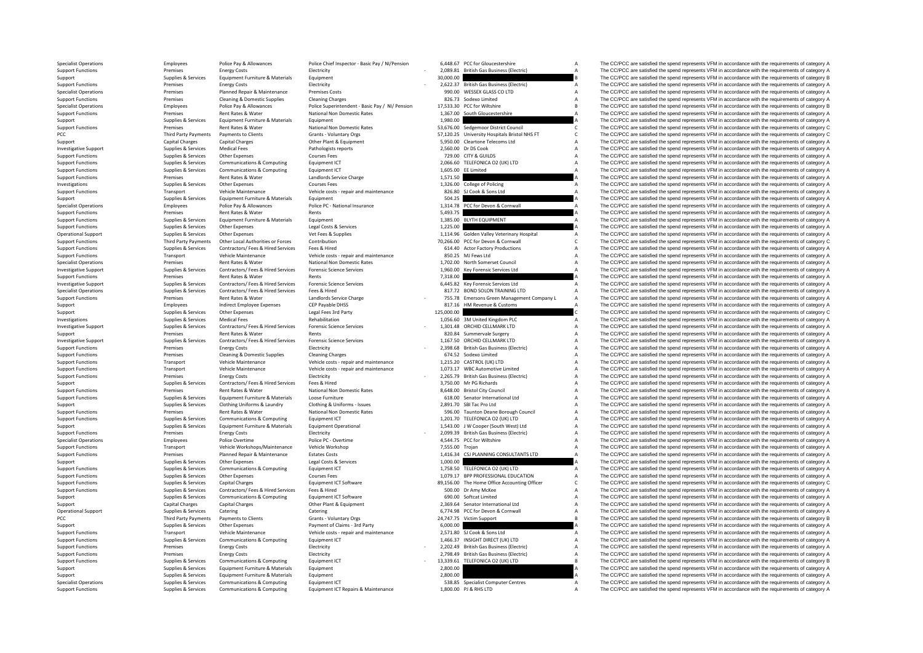| 6,448.67   | PCC for Gloucestershire                | A |
|------------|----------------------------------------|---|
| 2.089.81   | British Gas Business (Electric)        | A |
| 30,000.00  |                                        | B |
| 2,622.37   | <b>British Gas Business (Electric)</b> | A |
| 990.00     | WESSEX GLASS CO LTD                    | A |
|            | 826.73 Sodexo Limited                  | A |
| 17,533.30  | PCC for Wiltshire                      | R |
| 1.367.00   | South Gloucestershire                  | A |
| 1,980.00   |                                        | A |
| 53,676.00  | Sedgemoor District Council             | C |
| 57,120.25  | University Hospitals Bristol NHS FT    | C |
| 5.950.00   | Cleartone Telecoms Ltd                 | A |
| 2,560.00   | Dr DS Cook                             | A |
| 729.00     | CITY & GUILDS                          | A |
| 2,066.60   | TELEFONICA O2 (UK) LTD                 | A |
| 1,605.00   | <b>EE Limited</b>                      | A |
| 1,571.50   |                                        | Δ |
| 1,326.00   | College of Policing                    | A |
| 826.80     | SJ Cook & Sons Ltd                     | A |
| 504.25     |                                        | A |
| 1.314.78   | PCC for Devon & Cornwall               | Δ |
| 5,493.75   |                                        | A |
|            |                                        | A |
| 1,385.00   | <b>BLYTH EQUIPMENT</b>                 | Δ |
| 1,225.00   |                                        | A |
| 1,114.96   | Golden Valley Veterinary Hospital      |   |
| 70,266.00  | PCC for Devon & Cornwall               | C |
| 614.40     | <b>Actor Factory Productions</b>       | A |
| 850.25     | MJ Fews Ltd                            | A |
| 1,702.00   | North Somerset Council                 | A |
| 1,960.00   | Key Forensic Services Ltd              | A |
| 7,318.00   |                                        | A |
| 6,445.82   | Key Forensic Services Ltd              | A |
| 817.72     | <b>BOND SOLON TRAINING LTD</b>         | A |
| 755.78     | Emersons Green Management Company L    | A |
| 817.16     | HM Revenue & Customs                   | A |
| 125,000.00 |                                        | C |
| 1,056.60   | 3M United Kingdom PLC                  | A |
|            | 1,301.48 ORCHID CELLMARK LTD           | A |
|            | 820.84 Summervale Surgery              | A |
|            | 1,167.50 ORCHID CELLMARK LTD           | A |
|            |                                        |   |
| 2.398.68   | British Gas Business (Electric)        | A |
|            | 674.52 Sodexo Limited                  | A |
|            | 1,215.20 CASTROL (UK) LTD              | A |
| 1.073.17   | <b>WBC Automotive Limited</b>          | A |
| 2,265.79   | British Gas Business (Electric)        | A |
| 3,750.00   | Mr PG Richards                         | A |
|            | 8,648.00 Bristol City Council          | A |
|            | 618.00 Senator International Ltd       | A |
|            | 2,891.70 SBI Tac Pro Ltd               | A |
| 596.00     | Taunton Deane Borough Council          | A |
| 1,201.70   | TELEFONICA O2 (UK) LTD                 | A |
|            | 1,543.00 J W Cooper (South West) Ltd   | A |
| 2.099.39   | British Gas Business (Electric)        | A |
| 4,544.75   | PCC for Wiltshire                      | A |
| 7,555.00   | Trojan                                 | A |
| 1,416.34   | CSJ PLANNING CONSULTANTS LTD           | A |
| 1.000.00   |                                        | A |
| 1,758.50   | TELEFONICA O2 (UK) LTD                 | A |
| 1,079.17   | BPP PROFESSIONAL EDUCATION             | A |
| 89,156.00  | The Home Office Accounting Officer     | C |
| 500.00     | Dr Amy McKee                           | A |
| 690.00     | Softcat Limited                        | A |
| 2,369.64   | Senator International Ltd              | A |
| 6,774.98   | PCC for Devon & Cornwall               | A |
| 24,747.75  | <b>Victim Support</b>                  | B |
| 6,000.00   |                                        | A |
| 2,571.80   | SJ Cook & Sons Ltd                     | A |
| 1,466.37   | INSIGHT DIRECT (UK) LTD                | A |
| 2,202.49   | <b>British Gas Business (Electric)</b> | A |
| 2,798.49   | <b>British Gas Business (Electric)</b> | A |
| 13.339.61  |                                        | B |
| 2.800.00   | TELEFONICA O2 (UK) LTD                 | A |
| 2,800.00   |                                        | A |
| 538.85     | <b>Specialist Computer Centres</b>     | A |

Specialist Operations Specialist operations and providence of category A Police Police Police Pay & Allowances<br>
Providence Support Premiers of Category A Premiers of Category A Providence Specialisty Premiers of Category<br> Support Functions Premises Energy Costs Electricity Electricity Electricity - 2,089.81 British Gas Business (Electric) A The CC/PCC are satisfied the spend represents VFM in accordance with the requirements of category A S Support Supplies Supplies & Services Equipment Furniture & Materials Equipment and Equipment and the spend of the Support Equipment and the spend represents VFM in accordance with the requirements of category B<br>Support Fun Support Functions Premises Energy Costs Electricity Electricity - 2,622.37 British Gas Business (Electricity A The CC/PCC are satisfied the spend represents VFM in accordance with the requirements of category A Specialist Specialist Operations Premises Planned Repair & Maintenance Premises Costs 990.00 WESSEX GLASS COLITD A The CC/PCC are satisfied the spend represents VFM in accordance with the requirements of category A<br>Summer Functions P Support Functions Cleaning AD Cleaning AD Cleaning Charges Cleaning Charges Cleaning Charges Cleaning Charges 826.73 Sodexo Limited A The CC/PCC are satisfied the spend represents VFM in accordance with the requirements of Specialist Operations and the company of the equirements of category Benefit and the equirements of category B<br>Sunnort Functions Premises Rent Rates & Water Mational Non Domestic Rates 1367.00 South Glouresteschire A The C Rent Rates & Water National Non Domestic Rates 1,367.00 South Gloucestershire A The CC/PCC are satisfied the spend represents VFM in accordance with the requirements of category A The Crip in a control of the requirements Support Supplies & Services Equipment Furniture & Materials Equipment Equipment 1,980.00 A The CC/PCC are satisfied the spend represents VFM in accordance with the requirements of category A<br>Beneficial area and the propert Support Functions Premises Rent Rates Rent Rates Rent Rates National Non Domestic Rates 53,676.00 Sedgemoor District Council Council C The CC/PCC are satisfied the spend represents VFM in accordance with the requirements o Third Party Payments Payments to Clients Grants Crants Voluntary Orgs STANT STANTS STANTS FOR THE COMMETT C The CC/PCC are satisfied the spend represents VFM in accordance with the requirements of category C<br>Capital Charge Support Capital Charges Capital Charges Capital Charges Other Plant & Equipment 5,950.00 Cleartone Telecoms Ltd A The CC/PCC are satisfied the spend represents VFM in accordance with the requirements of category A The Crip Investigative Support Supplies & Services Medical Fees Pathologists reports 2,560.00 Dr DS Cook A The CC/PCC are satisfied the spend represents VFM in accordance with the requirements of category A Supplies & Services Medi Support Functions Supplies Services Other Expenses Courses Fees Courses Fees 729.00 CITY & GUILDS THE COMPON A The CC/PCC are satisfied the spend represents VFM in accordance with the requirements of category A Support Fun Support Functions Supplies Services Communications & Computing Equipment ICT 2,066.60 TELEFONICA O2 (UK) LTD A The CC/PCC are satisfied the spend represents VFM in accordance with the requirements of category A Support Fun The CC/PCC are satisfied the spend represents VFM in accordance with the requirements of category A Support Functions Premises Rent Rates & Water Landlords Service Charge Landlords Service Charge Landlords Service Charge 1,571.50 A The CC/PCC are satisfied the spend represents VFM in accordance with the requirements of c Investigations Supplies Services Other Expenses Courses Fees Courses Fees 1,326.00 College of Policing A The CC/PCC are satisfied the spend represents VFM in accordance with the requirements of category A The Creations are Transport Vehicle Maintenance Vehicle costs - repair and maintenance and the Support Costs - repair and maintenance and the Support and the CC/PCC are satisfied the spend represents VFM in accordance with the requirements Support Supplies Services Equipment Furniture & Materials Equipment Equipment Support Support Support Support Support Support Support Support Support Support Support Support Support Support Support Support Support Support Specialist Operations Employees Police Pay & Allowances Police PC - National Insurance Pape 2014 2014 2015 PCC for Devon & Cornwall A The CC/PCC are satisfied the spend represents VFM in accordance with the requirements of Support Functions Premises Rent Rates & Water Rents Rents Rents Rents Rents Support Functions Premises Rent Rates & Water Rents Rents Rents Rents Support Functions Support Functions Support Functions Support Functions Supp Support Functions Supplies & Services Equipment Furniture & Materials Equipment 1,385.00 BLYTH EQUIPMENT A The CC/PCC are satisfied the spend represents VFM in accordance with the requirements of category A support Functio Support Functions Supplies Asset Control Control Control Control Control Control Control Control Control Control Control Control Control Control Control Control Control Control Control Control Control Control Control Contr Operational Support Supplies & Services Other Expenses Vet Fees & Supplies Vet Fees & Supplies Veterinary Hospital A The CC/PCC are satisfied the spend represents VFM in accordance with the requirements of category A Suppo Support Functions Third Party Payments Other Local Authorities or Forces Contribution 70,266.00 PCC for Devon & Cornwall C The CC/PCC are satisfied the spend represents VFM in accordance with the requirements of category C Support Functions Supplies & Services Contractors/ Fees & Hired Services Fees & Hired Fees & Hired 614.40 Actor Factory Productions A The CC/PCC are satisfied the spend represents VFM in accordance with the requirements of Support Functions Transport Vehicle Maintenance Vehicle costs - repair and maintenance 850.25 MJ Fews Ltd A The CC/PCC are satisfied the spend represents VFM in accordance with the requirements of category A Secialist Oper Specialist Operations Specialist Operations Premises Premises Rent Rates Rent Rates Rent Rates Rent Rates Rent Rates Rent Rates Rent Rates Rent Rates Rent Rates Rent Rates Premises and the company and the spend represents 1999 (Investigative Support Electrophor Supplies & Services Contractors/ Fees & Hired Services Forensic Science Services on the Support of the CO/PCC are satisfied the spend represents VFM in accordance with the requiremen Support Functions Premises Rent Rates & Water Rents Rents Rents Rents Rents Rents Rents Rent Rates & Water Rents Rents Rents Rents Rents Rents Rents Rents Rents Rents Rents Rents Rents Rents Rents Rents Rents Rents Rents R investigative Suppliers and Services and Services and Content of the COPC are a manufactured and the requirements of the content of the content of the content of the content of the content of the content of the content of Specialist Operations Supplies Services Contractors/ Fees & Hired Services Fees & Hired Bervices Fees & Hired 817.72 BOND SOLON TRAINING LTD A The CC/PCC are satisfied the spend represents VFM in accordance with the requir Examplords Service Charge 1992 - 755.78 Emersons Green Management Company L A The CC/PCC are satisfied the spend represents VFM in accordance with the requirements of category A<br>CFP Pavable DHSS - 1996 - 1997 - 1997 - 1997 Support Employees Indirect Employee Expenses CEP Payable DHSS 817.16 HM Revenue & Customs A The CC/PCC are satisfied the spend represents VFM in accordance with the requirements of category A Support Supplies Supplies & Services Other Expenses Legal Fees 3rd Party 125,000.00 C The CC/PCC are satisfied the spend represents VFM in accordance with the requirements of category C<br>Investigations and the spend of cate Investigations Supplies Services Medical Fees Rehabilitation Rehabilitation Rehabilitation 1,056.60 3M United Kingdom PLC A The CC/PCC are satisfied the spend represents VFM in accordance with the requirements of category Investigative Support Supplies & Services Contractors/ Fees & Hired Services Forensic Science Services - 1,301.48 ORCHID CELLMARK LTD A The CC/PCC are satisfied the spend represents VFM in accordance with the requirements of category A Support Premises Rent Rates & Water Rents Rents Rents Rents Rents Rents Rents Rents Rents Rents Rents Rents Rents Rents Rents Rents Rents Rents Rents Rents Rents Rents Rents Rents Rents Rents Rents Rents Rents Rents Rents Investigative Support Electrophysics Services Contractors/Fees & Hired Services Forensic Science Services Forensic Science Services and the services of the CO/PCC are satisfied the spend represents VFM in accordance with t Support Functions Premises Energy Costs Electricity Electricity Electricity - 2,398.68 British Gas Business (Electricity A The CC/PCC are satisfied the spend represents VFM in accordance with the requirements of category A Cleaning & Domestic Supplies Cleaning Charges Cleaning Charges Cleaning Charges Cleaning Charges Cleaning Charges 674.52 Sodexo Limited A The CC/PCC are satisfied the spend represents VFM in accordance with the requirement Support Functions Transport Vehicle Maintenance Vehicle costs - repair and maintenance 1,215.20 CASTROL (UK) LTD A The CC/PCC are satisfied the spend represents VFM in accordance with the requirements of category A Theory Support Functions Transport Vehicle Maintenance Vehicle costs - repair and maintenance 1,073.17 WBC Automotive Limited A The CC/PCC are satisfied the spend represents VFM in accordance with the requirements of category A S Electricity Electricity Electricity (2,265.79 British Gas Business (Electricity A The CC/PCC are satisfied the spend represents VFM in accordance with the requirements of category A Supporters Energy Costs Electricity - 2, Support Supplies Services Contractors/ Fees & Hired Fees & Hired Services Fees & Hired Services Fees & Hired Services Fees & Hired Services Fees & Hired Services Services Fees & Hired Services Services Services Path in a T Support Functions Premises Rent Rates & Water National Non Domestic Rates 8,648.00 Bristol City Council Council A The CC/PCC are satisfied the spend represents VFM in accordance with the requirements of category A Support Supplies & Services Equipment Furniture & Materials Loose Furniture Compone Functions Loose Furniture Compone Functions Support Functions Category A Support Functional Ltd A The CC/PCC are satisfied the spend represents VF Support Support Support Support Support Support Clothing Uniforms & Laundry Clothing & Uniforms - Issues 2,891.70 SBI Tac Pro Ltd A The CC/PCC are satisfied the spend represents VFM in accordance with the requirements of c Support Functions Premises Rent Rates Review Rent Rates Rent Rates National Non Domestic Rates 596.00 Taunton Deane Borough Council A The CC/PCC are satisfied the spend represents VFM in accordance with the requirements of The CC/PCC are satisfied the spend represents VFM in accordance with the requirements of category A Support Supplies Supplies & Services Equipment Furniture & Materials Equipment Operational Equipment Operational 1,543.00 J W Cooper (South West) Ltd A The CC/PCC are satisfied the spend represents VFM in accordance with t Support Functions energy Costs Energy Costs Electricity Electricity - 2,099.39 British Gas Business (Electricity A The CC/PCC are satisfied the spend represents VFM in accordance with the requirements of category A Define Employees Police Overtime Police PC - Overtime Police PC - Overtime A The CC/PCC are satisfied the spend represents VFM in accordance with the requirements of category A Support Functions Transport Vehicle Workshops/Maintenance Vehicle Workshop 7,555.00 Trojan 7,555.00 Trojan A The CC/PCC are satisfied the spend represents VFM in accordance with the requirements of category A Support Funct External Planned Repair & Maintenance Estates Costs Costs Costs 1,416.34 CSJ PLANNING CONSULTANTS LTD A The CC/PCC are satisfied the spend represents VFM in accordance with the requirements of category A Supplies & Service Support Supplies & Services Other Expenses Legal Costs & Services 1,000.00 A The CC/PCC are satisfied the spend represents VFM in accordance with the requirements of category A Support Control of the spend represents VFM i Support Functions Supplies & Services Communications & Computing Equipment ICT 1,758.50 TELEFONICA O2 (UK) LTD A The CC/PCC are satisfied the spend represents VFM in accordance with the requirements of category A Supplies The CC/PCC are satisfied the spend represents VFM in accordance with the requirements of category A Support Functions Supplies & Services Capital Charges Equipment ICT Software Bay and the COLOGIC COUNTING CONFIDENT CONFIDENT C The CC/PCC are satisfied the spend represents VFM in accordance with the requirements of categ Fees & Hired Support Functions Supplies Contractors Contractors Contractors Contractors Contractors Fees & Hired Services Contractors Feeding and Supplies Contractors Contractors Contractors Feeding and Services Contractor Support Supplies Services Communications & Computing Equipment ICT Software 690.00 Softcat Limited A The CC/PCC are satisfied the spend represents VFM in accordance with the requirements of category A Support Capital Charg Support Capital Charges Capital Charges Capital Charges Other Plant & Equipment 2,369.64 Senator International Ltd A The CC/PCC are satisfied the spend represents VFM in accordance with the requirements of category A Charg Opplies & Services Catering Catering Catering Catering Catering Catering Catering Catering Catering Catering Catering Catering Catering Catering Catering Catering Catering Catering Catering Catering Catering Category A The PCC Third Party Payments Payments Oclients Grants - Voluntary Orgs 24,747.75 Victim Support B The CC/PCC are satisfied the spend represents VFM in accordance with the requirements of category B Support Supplies Supplies & Services Other Expenses Payment of Claims - 3rd Party 6,000.00 6,000.00 6,000.00 A The CC/PCC are satisfied the spend represents VFM in accordance with the requirements of category A The Creaty Support Functions Transport Vehicle Maintenance Vehicle costs - repair and maintenance 2,571.80 SJ Cook & Sons Ltd A The CC/PCC are satisfied the spend represents VFM in accordance with the requirements of category A Suppo The CC/PCC are satisfied the spend represents VFM in accordance with the requirements of category A Support Functions energy Costs Energy Costs Electricity Electricity - 2,202.49 British Gas Business (Electricity A The CC/PCC are satisfied the spend represents VFM in accordance with the requirements of category A Support The CC/PCC are satisfied the spend represents VFM in accordance with the requirements of category A Support Functions Supplies & Services Communications & Computing Equipment ICT - 13,339.61 TELEFONICA O2 (UK) LTD B The CC/PCC are satisfied the spend represents VFM in accordance with the requirements of category B Suppor Support Supplies & Services Equipment Furniture & Materials Equipment 2,800.00 2,800.00 A The CC/PCC are satisfied the spend represents VFM in accordance with the requirements of category A Support Support Support Support Support Supplies & Services Equipment Furniture & Materials Equipment 2,800.00 2,800.00 A The CC/PCC are satisfied the spend represents VFM in accordance with the requirements of category A Specialist Operations Supplies Services Communications & Computing Equipment ICT Equipment ICT 538.85 Specialist Computer Centres A The CC/PCC are satisfied the spend represents VFM in accordance with the requirements of c Support Functions Supplies A The CC/PCC are satisfied the spend represents VFM in accordance with the requirements of category A The CC/PCC are satisfied the spend represents VFM in accordance with the requirements of cate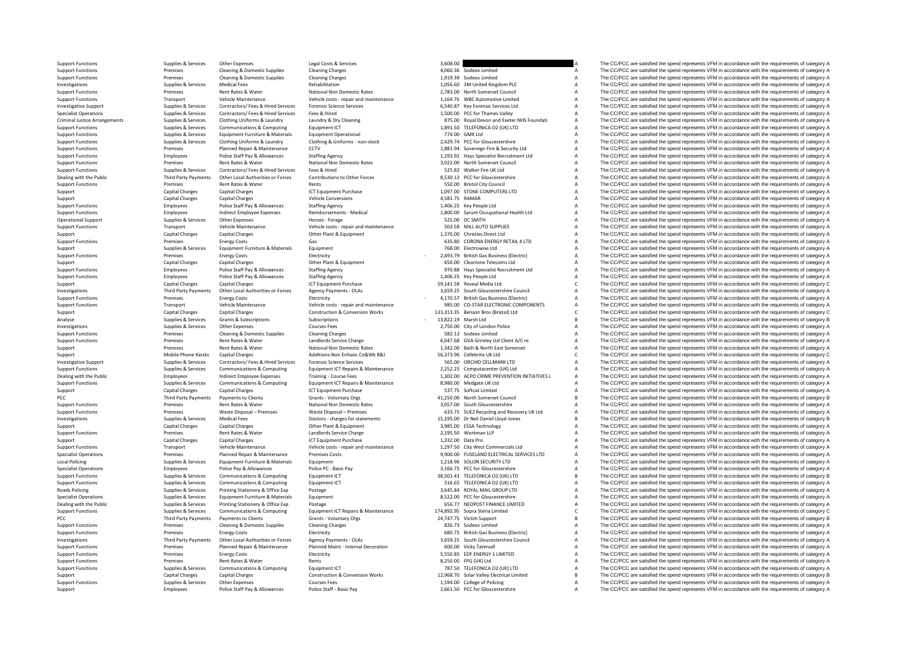Support Functions Supplies Services Other Expenses Legal Costs & Services 2016 and the costs and the costs and the costs are are satisfied the spend represents VFM in accordance with the requirements of category A Support Support Functions Premises Cleaning & Domestic Supplies Cleaning Charges Cleaning Charges A 4,060.36 Sodexo Limited A The CC/PCC are satisfied the spend represents VFM in accordance with the requirements of category A Supp Support Functions Premises Cleaning & Domestic Supplies Cleaning Charges Cleaning Charges Cleaning Charges 1,919.39 Sodexo Limited A The CC/PCC are satisfied the spend represents VFM in accordance with the requirements of Investigations Supplies Services Medical Fees Rehabilitation Rehabilitation Rehabilitation Rehabilitation Rehabilitation Rehabilitation Support Rehabilitation 1,056.60 3M United Kingdom PLC A The CC/PCC are satisfied the s Support Functions Premises Rent Rates Review Mational Non Domestic Rates 2,783.00 North Somerset Council A The CC/PCC are satisfied the spend represents VFM in accordance with the requirements of category A Theory and The Support Functions Transport Vehicle Maintenance Vehicle costs - repair and maintenance 1,164.76 WBC Automotive Limited A The CC/PCC are satisfied the spend represents VFM in accordance with the requirements of category A S Example the Supplies Services Contractors/ Fees & Hired Services Forensic Science Services of the Services of the SAME of SAME AND A The CC/PCC are satisfied the spend represents VFM in accordance with the requirements of Specialist Operations Supplies & Services Contractors/ Fees & Hired Services Fees & Hired Services Fees & Hired Services Fees & Hired Services Fees & Hired Services Fees & Hired Services Fees & Hired Services Services Fees Criminal Justice Arrangements Supplies & Services Clothing Uniforms & Laundry Laundry Bary Cleaning Strangement and Strangements Supplies & Services Clothing Uniforms & Laundry Bary Cleaning Strangement and Strangement of Support Functions Supplies Services Communications & Computing Equipment ICT COMPUTING COMPUTING A THE COMPOC are satisfied the spend represents VFM in accordance with the requirements of category A Supplies & Services Equ Support Functions Supplies Services Equipment Furniture & Materials Equipment Operational Equipment Operational 774.00 GMK Ltd 774.00 GMK Ltd A The CC/PCC are satisfied the spend represents VFM in accordance with the requi Support Functions Support Support Support Support Support Support Support Support Functions Support Functions<br>
Support Functions Support Support Support Support Support Support Support Support Support Support Support Suppo Support Functions Premises Planned Repair & Maintenance CCTV 1,881.94 Sovereign Fire & Security Ltd A The CC/PCC are satisfied the spend represents VFM in accordance with the requirements of category A Support Functions Pr Support Functions Employees Police Staff Pay & Allowances Staffing Agency Staffing Agency 1,193.92 Hays Specialist Recruitment Ltd A The CC/PCC are satisfied the spend represents VFM in accordance with the requirements of Support Functions Premises Rent Rates Rent Rates Rent Rates National Non Domestic Rates 3,022.00 North Somerset Council A The CC/PCC are satisfied the spend represents VFM in accordance with the requirements of category A SUPPORT FUNCTIONS SUPPORT FUNCTIONS SUPPORT FUNCTIONS SUPPORT ARE SERVICES TO A THE CONTROL OF CONTROL SERVICES TELL A THE CONTROL ARE SPEND FUNCTIONS OF CONTROLLER SPEND THE SPEND FOR A THE CONTROLLER SPEND FIRE SPEND FIR Dealing with the Public Third Party Payments Other Local Authorities or Forces Contributions to Other Forces SCS30.13 PCC for Gloucestershire A The CC/PCC are satisfied the spend represents VFM in accordance with the requi Support Functions Premises Rent Rates & Water Rents 550.00 Bristol City Council A The CC/PCC are satisfied the spend represents VFM in accordance with the requirements of category A Capital Charges Capital Charges ICT Equipment Purchase 1,097.00 STONE COMPUTERS LTD A The CC/PCC are satisfied the spend represents VFM in accordance with the requirements of category A Capital Charges Capital Charges Vehi Support Capital Charges Capital Charges Vehicle Conversions (Support A SSL1.75 RAMAR A The CC/PCC are satisfied the spend represents VFM in accordance with the requirements of category A Capital Charges Capital Charges Cap Support Functions Employees Police Staff Pay & Allowances Staffing Agency Staffing Agency 1,406.25 Key People Ltd A The CC/PCC are satisfied the spend represents VFM in accordance with the requirements of category A Suppor Support Functions Employees Indirect Employee Expenses Reimbursements - Medical 1,800.00 Sarum Occupational Health Ltd A The CC/PCC are satisfied the spend represents VFM in accordance with the requirements of category A O Operational Support Supplies Services Other Expenses Horses Horses Forage Support Support Support Support Support Support Support Support Support Support Support Support Support Support Support Support Support Support Supp Support Functions Transport Vehicle Maintenance Vehicle costs - repair and maintenance Vehicle costs - repair and maintenance S03.58 MILL AUTO SUPPLIES A The CC/PCC are satisfied the spend represents VFM in accordance with Support Capital Charges Capital Charges Capital Charges Music Charges Other Plant & Equipment Charges Capital Charges Capital Charges Capital Charges Capital Charges Capital Charges Capital Charges Capital Charges Cases Ca Support Functions Premises Energy Costs Gas Gas Cases (CRONA ENERGY RETAIL 4 LTD A The CC/PCC are satisfied the spend represents VFM in accordance with the requirements of category A Support Functions and the requirements  $\gamma$  Services Equipments of category A The CC/PCC are satisfied the spend represents VFM in accordance with the requirements of category A The CC/PCC are satisfied the spend represents VFM in accordance with the requireme Support Functions Premises Energy Costs Electricity - 2,493.79 British Gas Business (Electricity - 2,493.79 British Gas Business (Electricity - 2,493.79 British Gas Business (Electricity - 2,493.79 British Gas Business (El Support Capital Charges Capital Charges Capital Charges Capital Charges Other Plant & Equipment Charges Capital Charges Capital Charges Capital Charges Capital Charges Other Plant & Equipment 650.00 Cleartone Telecoms Ltd Support Functions Employees Police Staff Pay & Allowances Staffing Agency 970.88 Hays Specialist Recruitment Ltd A The CC/PCC are satisfied the spend represents VFM in accordance with the requirements of category A Support Employees Police Staff Pay & Allowances Staffing Agency Staffing Agency and the State of the State of the State of the State of The CC/PCC are satisfied the spend represents VFM in accordance with the requirements of categ Support Capital Charges Capital Charges Capital Charges ICT Equipment Purchase Server Apport Care Capital Charges ICT Equipment Purchase 59,141.58 Reveal Media Ltd C The CC/PCC are satisfied the spend represents VFM in acc Third Party Payments Other Local Authorities or Forces Agency Payments - OLAs 3,659.25 South Gloucestershire Council Mark The CC/PCC are satisfied the spend represents VFM in accordance with the requirements of category A<br> Electricity Electricity - 4,170.57 British Gas Business (Electricity - 4,170.57 British Gas Business (Electricity - 4,170.57 British Gas Business (Electricity - 4,170.57 British Gas Business (Electricity - 4,170.57 British Example of the Maintenance of the Contraction of the Contraction of the COPCC are satisfied the spend represents VFM in accordance of the equirements of category A and the requirements of category A and the requirements of Support Capital Charges Capital Charges Capital Charges Construction & Conversion Works 133,313.35 Benson Bros (Bristol) Ltd C The CC/PCC are satisfied the spend represents VFM in accordance with the requirements of catego Analyse Supplies Services Grants & Subscriptions Subscriptions Subscriptions Subscriptions Subscriptions - 13,822.19 Marsh Ltd B The CC/PCC are satisfied the spend represents VFM in accordance with the requirements of cate Investigations Supplies Services Other Expenses Courses Fees Courses Courses Fees 2,750.00 City of London Police A The CC/PCC are satisfied the spend represents VFM in accordance with the requirements of category A The CC/ Support Functions Premises Cleaning & Domestic Supplies Cleaning Charges Cleaning Charges Sa2.13 Sodexo Limited A The CC/PCC are satisfied the spend represents VFM in accordance with the requirements of category A Support Rent Rates & Water Landlords Service Charge 6,047.68 GVA Grimley Ltd Client A/C re A The CC/PCC are satisfied the spend represents VFM in accordance with the requirements of category A The Crimley Ltd Client A/C records Cl Support Premises Rent Rates & Water National Non Domestic Rates 1,342.00 Bath & North East Somerset A The CC/PCC are satisfied the spend represents VFM in accordance with the requirements of category C<br>Support Support Addi Capital Charges Additions:Non Enhanc Cn&Wk B&I 56,373.96 Cellebrite UK Ltd C The CC/PCC are satisfied the spend represents VFM in accordance with the requirements of category C S65.00 ORCHID C11 MARK ITD A The CC/PCC are s Example the Supplies Services Contractors/Fees & Hired Services Forensic Science Services - S65.00 ORCHID CELLMARK LTD A The CC/PCC are satisfied the spend represents VFM in accordance with the requirements of category A S Supplies Supplies Services Communications & Computing Equipment ICT Repairs & Maintenance 2,252.25 Computacenter (UK) Ltd A The CC/PCC are satisfied the spend represents VFM in accordance with the requirements of category Employees and the course of the COPCC are satisfied the spend represents VFM in accordance with the requirements of category A and the course Fraining - Course Fees 1,302.00 ACPO CRIME PREVENTION INITIATIVES L A The COPCC Support Functions Support on the Computitions of the Computing Equipment ICT Repairs & Maintenance and a secure and the computer of the CO/PCC are satisfied the spend represents VFM in accordance with the requirements of c Support Capital Charges Capital Charges Capital Charges ICT Equipment Purchase S37.75 Softcat Limited A The CC/PCC are satisfied the spend represents VFM in accordance with the requirements of category A The CC/PCC are sat PCC Third Party Payments Payments of Clients Grants - Voluntary Orgs 41,250.00 North Somerset Council B The CC/PCC are satisfied the spend represents VFM in accordance with the requirements of category B and Rate & Water N Support Functions Premises Premises Rent Rates Rent Rates National Non Domestic Rates 3,057.00 South Gloucestershire A The CC/PCC are satisfied the spend represents VFM in accordance with the requirements of category A Sup Support Functions Premises Waste Disposal – Premises Waste Disposal – Premises Waste Disposal – Premises Waste Disposal – Premises Waste Disposal – Premises Waste Disposal – Premises 633.75 SUEZ Recycling and Recovery UK L IS,195.00 Dr Neil Daniel Lloyd-Jones **B** The CC/PCC are satisfied the spend represents VFM in accordance with the requirements of category B The CC/PCC are satisfied the spend represents VFM in accordance with the requirem Support Capital Charges Capital Charges Capital Charges Capital Charges Other Plant & Equipment Charge Support Charges and the CC/PCC are satisfied the spend represents VFM in accordance with the requirements of category A Premises Rent Rates & Water Landlords Service Charge 2,195.50 Workman LLP A The CC/PCC are satisfied the spend represents VFM in accordance with the requirements of category A<br>Canital Charges Canital Charges PC in the UCLE Support Capital Charges Capital Charges ICT Equipment Purchase 1,332.00 Data Pro A The CC/PCC are satisfied the spend represents VFM in accordance with the requirements of category A The Crip in accordance with the require Support Functions Transport Vehicle Maintenance Vehicle costs - repair and maintenance 1,297.50 City West Commercials Ltd A The CC/PCC are satisfied the spend represents VFM in accordance with the requirements of category Specialist Operations Premises Planned Repair & Maintenance Premises Costs 9,900.00 FUSELAND ELECTRICAL SERVICES LTD A The CC/PCC are satisfied the spend represents VFM in accordance with the requirements of category A<br>Loc Local Policing Supplies Services Equipment Furniture & Materials Equipment Equipment 1,218.96 SOLON SECURITY LTD A The CC/PCC are satisfied the spend represents VFM in accordance with the requirements of category A Section Specialist Operations Employees Police Pay & Allowances Police PC - Basic Pay 3,166.75 PCC for Gloucestershire A The CC/PCC are satisfied the spend represents VFM in accordance with the requirements of category A Support F SUPPORT FUNCTIONS SUPPORT OF SERVICES BRACK OF SUPPORT THE COMPUTING EQUIPMENT INTERFORMENT INTERFORMENT ASSECT<br>SUPPORT THE SPEND B THE COMPUT SPEND A THE COMPUT INTERFERIENT IN A THE SPEND REPORT OF CATEGORY BRACK OF CATE Support Functions Supplies Services Communications & Computing Equipment ICT STAGS TELEFONICA O2 (UK) LTD A The CC/PCC are satisfied the spend represents VFM in accordance with the requirements of category A Roads Policine 3,645.84 ROYAL MAIL GROUP LTD A The CC/PCC are satisfied the spend represents VFM in accordance with the requirements of category A<br>A The CC/PCC are satisfied the spend represents VFM in accordance with the requirements of Specialist Operations Supplies Aservices Equipment Furniture & Materials Equipment and the Specialist Operations A The CC/PCC are satisfied the spend represents VFM in accordance with the requirements of category A Design Dealing with the Public Supplies Supplies & Services Printing Stationery & Office Exp Postage 656.77 NEOPOST FINANCE LIMITED A The CC/PCC are satisfied the spend represents VFM in accordance with the requirements of catego Support Functions Support of the Services Communications & Computing Equipment ICT Repairs & Maintenance 174,892.95 Sopra Steria Limited CC/PCC are satisfied the spend represents VFM in accordance with the requirements of Published The CC/PCC are satisfied the spend represents VFM in accordance with the requirements of category B Support Functions Premises Cleaning & Domestic Supplies Cleaning Charges Cleaning Charges Cleaning Charges 826.73 Sodexo Limited A The CC/PCC are satisfied the spend represents VFM in accordance with the requirements of ca Support Functions Premises Energy Costs Energy Costs Electricity Electricity Electricity and the premises Energy Costs Electricity Electricity and the spend Premises Energy Costs Electricity and Electricity and the premise The CC/PCC are satisfied the spend represents VFM in accordance with the requirements of category A Support Functions Premises Planned Repair & Maintenance Planned Maint - Internal Decoration 600.00 Vicky Tatersall A The CC/PCC are satisfied the spend represents VFM in accordance with the requirements of category A Suppo S,550.85 EDF ENERGY 1 LIMITED A The CC/PCC are satisfied the spend represents VFM in accordance with the requirements of category A<br>A The CC/PCC are satisfied the spend represents VFM in accordance with the requirements of Support Functions Premises Rent Rates & Water Rents 8,250.00 FPG (UK) Ltd A The CC/PCC are satisfied the spend represents VFM in accordance with the requirements of category A Supplies & Services Communications & Computing Equipment ICT 2012-02-2012 2012-02-2012 2012-02-2012 2012-02-2012-02-2012-02-2012-02-2012-02-2012-02-2012-02-2012-02-2012-02-2012-02-2012-02-2012-02-2012-02-2012-02-2012-02-20 Support Capital Charges Capital Charges Capital Charges Construction & Conversion Works 12,968.70 Solar Valley Electrical Limited B The CC/PCC are satisfied the spend represents VFM in accordance with the requirements of c Support Functions Supplies Services Other Expenses Courses Fees Courses Fees Courses Fees 1,594.00 College of Policing A The CC/PCC are satisfied the spend represents VFM in accordance with the requirements of category A S The CC/PCC are satisfied the spend represents VFM in accordance with the requirements of category A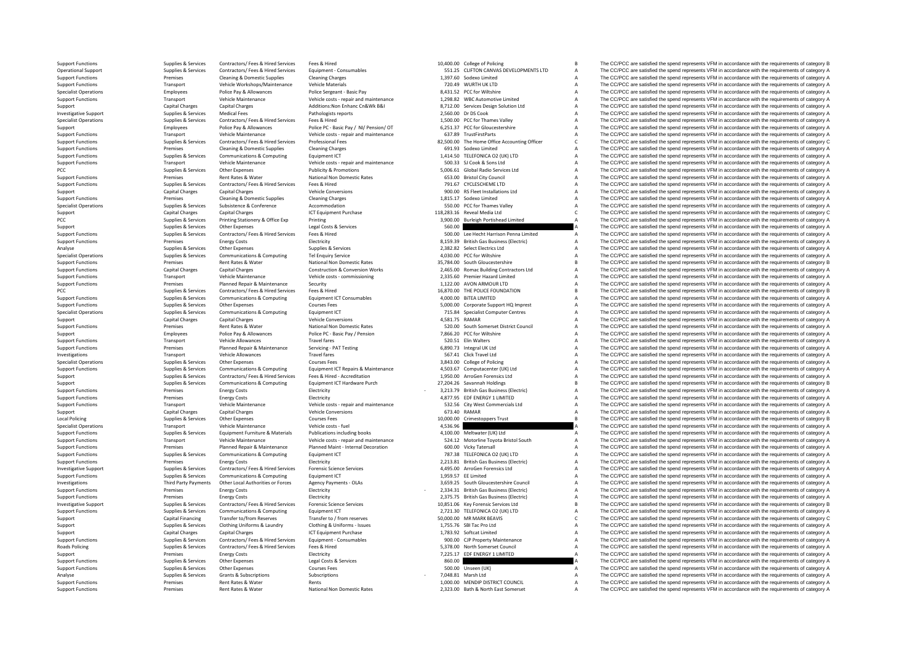Support Functions Supplies Services Contractors/ Fees & Hired Free Services Fees & Hired Services Fees & Hired Services Fees & Hired Services Fees & Hired Services Fees & Hired Services Fees & Hired Services For a Stategor Operational Support Supplies & Services Contractors/ Fees & Hired Services Equipment - Consumables 551.25 CLIFTON CANVAS DEVELOPMENTS LTD A The CC/PCC are satisfied the spend represents VFM in accordance with the requireme Support Functions Premises Cleaning & Domestic Supplies Cleaning Charges Cleaning Charges Cleaning Charges 1,397.60 Sodexo Limited A The CC/PCC are satisfied the spend represents VFM in accordance with the requirements of Support Functions Transport Vehicle Workshops/Maintenance Vehicle Materials Vehicle Materials 720.49 WURTH UK LTD A The CC/PCC are satisfied the spend represents VFM in accordance with the requirements of category A Sectio Specialist Operations Employees Police Pay & Allowances Police Sergeant - Basic Pay 8,431.52 PCC for Wiltshire A The CC/PCC are satisfied the spend represents VFM in accordance with the requirements of category A Theory an Support Functions Transport Vehicle Maintenance Vehicle costs - repair and maintenance 1,298.82 WBC Automotive Limited A The CC/PCC are satisfied the spend represents VFM in accordance with the requirements of category A C Support Capital Charges Capital Charges Additions:Non Enhanc Cn&Wk B&I 8,712.00 Services Design Solution Ltd A The CC/PCC are satisfied the spend represents VFM in accordance with the requirements of category A District Ch Supplies & Services Medical Fees Pathologists reports 2,560.00 Dr DS Cook A The CC/PCC are satisfied the spend represents VFM in accordance with the requirements of category A Cries and the requirements of category A Cries Specialist Operations Supplies & Services Contractors/ Fees & Hired Services Fees & Hired 1,500.00 PCC for Thames Valley A The CC/PCC are satisfied the spend represents VFM in accordance with the requirements of category A Support Functions Employees Police Pay & Allowances Police PC - Basic Pay / NI/ Pension/ OT 6,251.37 PCC for Gloucestershire A The CC/PCC are satisfied the spend represents VFM in accordance with the requirements of catego Support Functions Transport Vehicle Maintenance Vehicle costs - repair and maintenance and the Support Functions A The CC/PCC are satisfied the spend represents VFM in accordance with the requirements of category A Support Support Functions Support Support Support Support Support Support Support Support Functions Support Functions Support Functions Support Functions Support Functions of the COVEC are satisfied the spend represents VFM in acc Support Functions Premises Cleaning & Domestic Supplies Cleaning Charges Cleaning Charges 691.93 Sodexo Limited A The CC/PCC are satisfied the spend represents VFM in accordance with the requirements of category A Supplies Support Functions Supplies Aservices Communications & Computing Equipment ICT Equipment CT 1,414.50 TELEFONICA O2 (UK) LTD A The CC/PCC are satisfied the spend represents VFM in accordance with the requirements of category Support Functions Transport Vehicle Maintenance Vehicle costs - repair and maintenance 500.33 SJ Cook & Sons Ltd A The CC/PCC are satisfied the spend represents VFM in accordance with the requirements of category A The C. PCC Supplies A The CC/PCC are satisfied the spend represents VFM in accordance with the requirements of category A The CC/PCC are satisfied the spend represents VFM in accordance with the requirements of category A The CC/ Support Functions Premises Rent Rates & Water National Non Domestic Rates 653.00 Bristol City Council A The CC/PCC are satisfied the spend represents VFM in accordance with the requirements of category A Support Functions Supplies & Services Contractors/ Fees & Hired Services Fees & Hired Fees & Hired Fees & Hired Fees & Hired Fees & Hired Fees & Hired Fees & Hired The COLESCHEME LTD A The CC/PCC are satisfied the spend represents VFM in ac Support Capital Charges Capital Charges Vehicle Conversions Vehicle Conversions 900.00 RS Fleet Installations Ltd A The CC/PCC are satisfied the spend represents VFM in accordance with the requirements of category A Suppor Support Functions Premises Cleaning & Domestic Supplies Cleaning Charges Cleaning Charges 1,815.17 Sodexo Limited A The CC/PCC are satisfied the spend represents VFM in accordance with the requirements of category A Suppli Supplies & Services Subsistence & Conference Accommodation Accommodation SEO.00 PCC for Thames Valley A The CC/PCC are satisfied the spend represents VFM in accordance with the requirements of category A Category A Thames Support Capital Charges Capital Charges Capital Charges ICT Equipment Purchase 118,283.16 Reveal Media Ltd C The CC/PCC are satisfied the spend represents VFM in accordance with the requirements of category C PCC C are sat PCC PCC are satisfied the spend represents VFM in accordance with the requirements of category A Printing 3,900.00 Burleigh Portishead Limited A The CC/PCC are satisfied the spend represents VFM in accordance with the requ Support Support Support Support Support Costs Contractors Costs Contractors and the COST Contractors Costs and the Services S60.00 A The CC/PCC are satisfied the spend represents VFM in accordance with the requirements of Support Functions Support Functions Support Functions (Support Functions of the Support Functions of the COPCC are satisfied the spend represents VFM in accordance with the requirements of category A<br>
Support Functions Fun Support Functions Premises Energy Costs Electricity Business Electricity 8,159.39 British Gas Business (Electric) A The CC/PCC are satisfied the spend represents VFM in accordance with the requirements of category A a cate Analyse Supplies Services Supplies & Services Supplies & Services 2,382.82 Select Electrics Ltd A The CC/PCC are satisfied the spend represents VFM in accordance with the requirements of category A Supplies & Services Supp Specialist Operations Supplies Services Communications & Computing Tel Enquiry Service Tel Enquiry Service 4,030.00 PCC for Willshire A The CC/PCC are satisfied the spend represents VFM in accordance with the requirements Support Functions Premises Rent Rates & Water National Non Domestic Rates Associates Associates and Support Functions and are satisfied the spend represents VFM in accordance with the requirements of category B Constructio Support Functions Capital Charges Capital Charges Construction & Conversion Works 2,465.00 Romac Building Contractors Ltd A The CC/PCC are satisfied the spend represents VFM in accordance with the requirements of category Support Functions Transport Vehicle Maintenance Vehicle costs - commissioning 2,335.60 Premier Hazard Limited A The CC/PCC are satisfied the spend represents VFM in accordance with the requirements of category A Support Fu Planned Repair & Maintenance Security Support in the Support of the CC/PC are satisfied the spend represents VFM in accordance with the requirements of category A<br>Support Support Support And the requirements of category PCC The CC/PCC are satisfied the spend represents VFM in accordance with the requirements of category B Contractors/ Fees & Hired Fees & Hired Fees & Hired Services Fees & Hired Services Fees & Hired 16,870.00 BTEA LIMITED Support Functions Supplies & Services Communications & Computing Equipment ICT Consumables 4,000.00 BiTEA LIMITED A The CC/PCC are satisfied the spend represents VFM in accordance with the requirements of category A Suppli Support Functions Courses Courses Courses Courses Courses Courses Courses Courses Courses Courses Courses Courses Courses Courses Courses Courses Courses Courses Courses Courses Courses Courses Courses Courses Courses Cour Specialist Operations Supplies & Services Communications & Computing Equipment ICT 715.84 Specialist Computer Centres A The CC/PCC are satisfied the spend represents VFM in accordance with the requirements of category A SA Support Capital Charges Capital Charges Vehicle Conversions Vehicle Conversions 4,581.75 RAMAR A The CC/PCC are satisfied the spend represents VFM in accordance with the requirements of category A Support Charges Rent Rate Premises Rent Rates & Water Mational Non Domestic Rates 520.00 South Some restrict Council A The CC/PCC are satisfied the spend represents VFM in accordance with the requirements of category A The Creation and the requirem Support Employees Police Pay & Allowances Police PC - Basic Pay / Pension 7,866.20 PCC for Willshire A The CC/PCC are satisfied the spend represents VFM in accordance with the requirements of category A Support Transport V Transport Vehicle Allowances Travel fares Travel fares Travel fares a S20.51 Elin Walters A The CC/PCC are satisfied the spend represents VFM in accordance with the requirements of category A Category A The CC/PCC are sati Support Functions Premises Planned Repair & Maintenance Servicing - PAT Testing 6,890.73 Integral UK Ltd A The CC/PCC are satisfied the spend represents VFM in accordance with the requirements of category A The Creations a Inversion Transport Vehicle Allowances Travel Ltd A The CC/PCC are satisfied the spend represents VFM in accordance with the requirements of category A<br>3.843.00 College of Policing A The CC/PCC are satisfied the spend repr Specialist Operations Supplies Services Other Expenses Courses Fees Courses Courses Courses Courses Fees 3,843.00 College of Policing A The CC/PCC are satisfied the spend represents VFM in accordance with the requirements Support Functions Supplies Services Communications & Computing Equipment ICT Repairs & Maintenance 4,503.67 Computatenter (UK) Ltd Mainten A The CC/PCC are satisfied the spend represents VFM in accordance with the requirem Supplies & Services Contractors/ Fees & Hired Services Fees & Hired Services Fees & Hired - Accreditation 1,950.00 ArroGen Forensics Ltd A The CC/PCC are satisfied the spend represents VFM in accordance with the requiremen Support Supplies Services Communications & Computing Equipment ICT Hardware Purch 27,204.26 Savannah Holdings B The CC/PCC are satisfied the spend represents VFM in accordance with the requirements of category B S Support Support Functions Premises Energy Costs Electricity Electricity - 3,213.79 British Gas Business (Electricity - 3,213.79 British Gas Business (Electricity A The CC/PCC are satisfied the spend represents VFM in accordance wi Support Functions Premises Energy Costs Electricity Electricity Electricity and the Electricity and the ENERGY 1 LIMITED A The CC/PCC are satisfied the spend represents VFM in accordance with the requirements of category A Transport Vehicle Maintenance Vehicle Costs - repair and maintenance 532.56 City West Commercials Ltd A The CC/PCC are satisfied the spend represents VFM in accordance with the requirements of category A Capital Charges Ca Support Capital Charges Capital Charges Vehicle Conversions (Conversions 673.40 RAMAR A The CC/PCC are satisfied the spend represents VFM in accordance with the requirements of category A Charges Capital Charges Category A R The CC/PCC are satisfied the spend represents VFM in accordance with the requirements of category B Specialist Operations Transport Vehicle Maintenance Vehicle costs - fuel 4,536.96 A The CC/PCC are satisfied the spend represents VFM in accordance with the requirements of category A The Costs - fuel the spend represents Equipment Furniture & Materials Publications including books and the method of the COPCC are satisfied the spend represents VFM in accordance with the requirements of category A<br>Vehicle onts - cenair and maintenance and th Support Functions Transport Vehicle Maintenance Vehicle costs - regair and maintenance S24.12 Motorline Tovota Bristol South A The CC/PCC are satisfied the spend represents VFM in accordance with the requirements of catego Support Functions Premises Planned Repair & Maintenance Planned Maint - Internal Decoration 600.00 Vicky Tatersall A The CC/PCC are satisfied the spend represents VFM in accordance with the requirements of category A Suppo Support Functions Supplies Services Communications & Computing Equipment ICT 787.38 TELEFONICA O2 (UK) LTD A The CC/PCC are satisfied the spend represents VFM in accordance with the requirements of category A Support Funct Premises Energy Costs Electricity Electricity Electricity and Electricity Electricity and the equirements of category A The CC/PCC are satisfied the spend represents VFM in accordance with the requirements of category A Su Example the Supplies Services of Contractors/Fees & Hired Services Forensic Science Services Forensic Science Services (A495.00 ArroGen Forensics Ltd Medical Phe CC/PCC are satisfied the spend represents VFM in accordance A The CC/PCC are satisfied the spend represents VFM in accordance with the requirements of category A Investigations Third Party Payments Other Local Authorities or Forces Agency Payments - OLAs 3,659.25 South Gloucestershire Council A The CC/PCC are satisfied the spend represents VFM in accordance with the requirements of category A A The CC/PCC are satisfied the spend represents VFM in accordance with the requirements of category A Support Functions Premises Energy Costs Electricity Electricity Electricity Electricity Electricity Electricity and the spend represents of category A The CC/PCC are satisfied the spend represents VFM in accordance with th Investigative Support Support Supplies & Services Contractors/ Fees & Hired Services Forensic Science Services<br>
Support Functions Support Functions & Communications & Computing Equipment ICT Capacity Capacity 2,721.30 TELE Supplies & Services Communications & Computing Equipment ICT 2,721.30 TELEFONICA O2 (UK) LTD A The CC/PCC are satisfied the spend represents VFM in accordance with the requirements of category A Category A S0.000.00 MR MAR Support Capital Financing Transfer to/from Reserves Transfer to / from reserves 50,000.00 MR MARK BEAVIS C The CC/PCC are satisfied the spend represents VFM in accordance with the requirements of category C Support Supplies Services Clothing Uniforms & Laundry Clothing & Uniforms - Issues 1,755.76 SBI Tac Pro Ltd A The CC/PCC are satisfied the spend represents VFM in accordance with the requirements of category A Support Clot Support Capital Charges Capital Charges Capital Charges ICT Equipment Purchase 1,783.92 Softcat Limited A The CC/PCC are satisfied the spend represents VFM in accordance with the requirements of category A Support Charges 900.00 CJP Property Maintenance<br>A The CC/PCC are satisfied the spend represents VFM in accordance with the requirements of category A<br>S 378.00 North Somerset Council a The CC/PCC are satisfied the spend represents VFM in a Roads Policing Supplies Services Contractors/ Fees & Hired Fees & Hired Services Fees & Hired 5,378.00 North Somerset Council A The CC/PCC are satisfied the spend represents VFM in accordance with the requirements of categ Support Premises Energy Costs Finance Electricity Finance and the Support of the COLECT Are satisfied the spend represents VFM in accordance with the requirements of category A Support Functions Supplies & Services Other Expenses Legal Costs & Services 260.00 A The CC/PCC are satisfied the spend represents VFM in accordance with the requirements of category A Services Support Functions and the re Supplies & Services Other Expenses Courses Fees Courses Fees 500.00 Unseen (UK) A The CC/PCC are satisfied the spend represents VFM in accordance with the requirements of category A Support Courses Courses Courses Courses Analyse Supplies Services Grants & Subscriptions Subscriptions Subscriptions Subscriptions - 7,048.81 Marsh Ltd A The CC/PCC are satisfied the spend represents VFM in accordance with the requirements of category A Support Functions Premises Rent Rates & Water Rents Rents Rents Rents Rents Rents Rents Rent Rates Rents 2,000.00 MENDIP DISTRICT COUNCIL A The CC/PCC are satisfied the spend represents VFM in accordance with the requireme The CC/PCC are satisfied the spend represents VFM in accordance with the requirements of category A